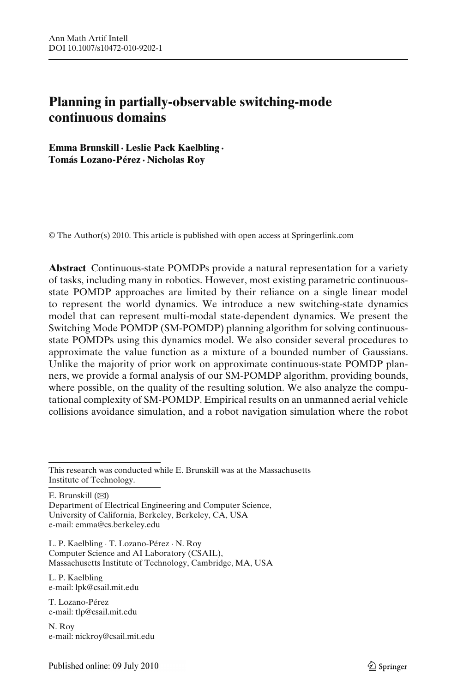# **Planning in partially-observable switching-mode continuous domains**

**Emma Brunskill·Leslie Pack Kaelbling · Tomás Lozano-Pérez · Nicholas Roy**

© The Author(s) 2010. This article is published with open access at Springerlink.com

**Abstract** Continuous-state POMDPs provide a natural representation for a variety of tasks, including many in robotics. However, most existing parametric continuousstate POMDP approaches are limited by their reliance on a single linear model to represent the world dynamics. We introduce a new switching-state dynamics model that can represent multi-modal state-dependent dynamics. We present the Switching Mode POMDP (SM-POMDP) planning algorithm for solving continuousstate POMDPs using this dynamics model. We also consider several procedures to approximate the value function as a mixture of a bounded number of Gaussians. Unlike the majority of prior work on approximate continuous-state POMDP planners, we provide a formal analysis of our SM-POMDP algorithm, providing bounds, where possible, on the quality of the resulting solution. We also analyze the computational complexity of SM-POMDP. Empirical results on an unmanned aerial vehicle collisions avoidance simulation, and a robot navigation simulation where the robot

E. Brunskill  $(\boxtimes)$ Department of Electrical Engineering and Computer Science, University of California, Berkeley, Berkeley, CA, USA e-mail: emma@cs.berkeley.edu

L. P. Kaelbling · T. Lozano-Pérez · N. Roy Computer Science and AI Laboratory (CSAIL), Massachusetts Institute of Technology, Cambridge, MA, USA

L. P. Kaelbling e-mail: lpk@csail.mit.edu

T. Lozano-Pérez e-mail: tlp@csail.mit.edu

N. Roy e-mail: nickroy@csail.mit.edu

This research was conducted while E. Brunskill was at the Massachusetts Institute of Technology.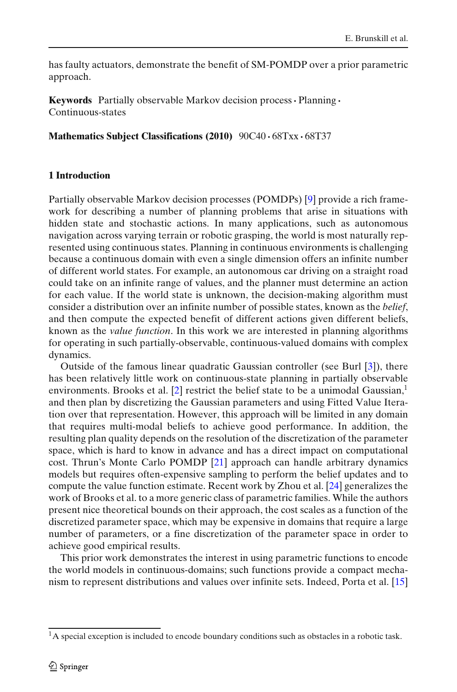has faulty actuators, demonstrate the benefit of SM-POMDP over a prior parametric approach.

**Keywords** Partially observable Markov decision process**·** Planning **·** Continuous-states

**Mathematics Subject Classifications (2010)** 90C40 **·** 68Txx **·** 68T37

# **1 Introduction**

Partially observable Markov decision processes (POMDPs) [\[9\]](#page-31-0) provide a rich framework for describing a number of planning problems that arise in situations with hidden state and stochastic actions. In many applications, such as autonomous navigation across varying terrain or robotic grasping, the world is most naturally represented using continuous states. Planning in continuous environments is challenging because a continuous domain with even a single dimension offers an infinite number of different world states. For example, an autonomous car driving on a straight road could take on an infinite range of values, and the planner must determine an action for each value. If the world state is unknown, the decision-making algorithm must consider a distribution over an infinite number of possible states, known as the *belief*, and then compute the expected benefit of different actions given different beliefs, known as the *value function*. In this work we are interested in planning algorithms for operating in such partially-observable, continuous-valued domains with complex dynamics.

Outside of the famous linear quadratic Gaussian controller (see Burl [\[3\]](#page-31-0)), there has been relatively little work on continuous-state planning in partially observable environments. Brooks et al. [\[2\]](#page-31-0) restrict the belief state to be a unimodal Gaussian,<sup>1</sup> and then plan by discretizing the Gaussian parameters and using Fitted Value Iteration over that representation. However, this approach will be limited in any domain that requires multi-modal beliefs to achieve good performance. In addition, the resulting plan quality depends on the resolution of the discretization of the parameter space, which is hard to know in advance and has a direct impact on computational cost. Thrun's Monte Carlo POMDP [\[21\]](#page-31-0) approach can handle arbitrary dynamics models but requires often-expensive sampling to perform the belief updates and to compute the value function estimate. Recent work by Zhou et al. [\[24](#page-31-0)] generalizes the work of Brooks et al. to a more generic class of parametric families. While the authors present nice theoretical bounds on their approach, the cost scales as a function of the discretized parameter space, which may be expensive in domains that require a large number of parameters, or a fine discretization of the parameter space in order to achieve good empirical results.

This prior work demonstrates the interest in using parametric functions to encode the world models in continuous-domains; such functions provide a compact mechanism to represent distributions and values over infinite sets. Indeed, Porta et al. [\[15](#page-31-0)]

 $<sup>1</sup>A$  special exception is included to encode boundary conditions such as obstacles in a robotic task.</sup>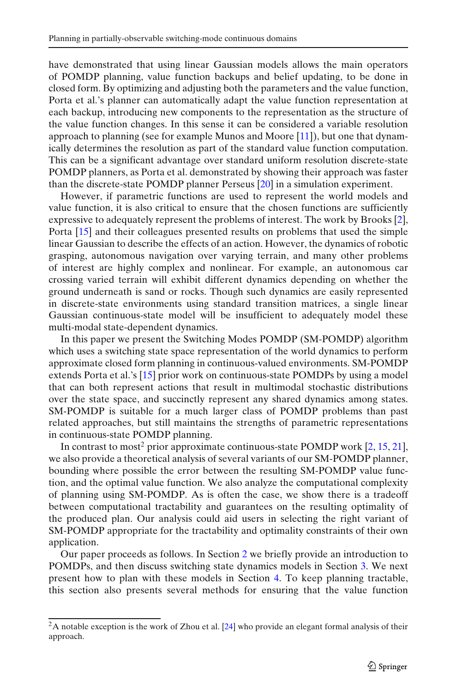have demonstrated that using linear Gaussian models allows the main operators of POMDP planning, value function backups and belief updating, to be done in closed form. By optimizing and adjusting both the parameters and the value function, Porta et al.'s planner can automatically adapt the value function representation at each backup, introducing new components to the representation as the structure of the value function changes. In this sense it can be considered a variable resolution approach to planning (see for example Munos and Moore [\[11\]](#page-31-0)), but one that dynamically determines the resolution as part of the standard value function computation. This can be a significant advantage over standard uniform resolution discrete-state POMDP planners, as Porta et al. demonstrated by showing their approach was faster than the discrete-state POMDP planner Perseus [\[20](#page-31-0)] in a simulation experiment.

However, if parametric functions are used to represent the world models and value function, it is also critical to ensure that the chosen functions are sufficiently expressive to adequately represent the problems of interest. The work by Brooks [\[2](#page-31-0)], Porta [\[15](#page-31-0)] and their colleagues presented results on problems that used the simple linear Gaussian to describe the effects of an action. However, the dynamics of robotic grasping, autonomous navigation over varying terrain, and many other problems of interest are highly complex and nonlinear. For example, an autonomous car crossing varied terrain will exhibit different dynamics depending on whether the ground underneath is sand or rocks. Though such dynamics are easily represented in discrete-state environments using standard transition matrices, a single linear Gaussian continuous-state model will be insufficient to adequately model these multi-modal state-dependent dynamics.

In this paper we present the Switching Modes POMDP (SM-POMDP) algorithm which uses a switching state space representation of the world dynamics to perform approximate closed form planning in continuous-valued environments. SM-POMDP extends Porta et al.'s [\[15\]](#page-31-0) prior work on continuous-state POMDPs by using a model that can both represent actions that result in multimodal stochastic distributions over the state space, and succinctly represent any shared dynamics among states. SM-POMDP is suitable for a much larger class of POMDP problems than past related approaches, but still maintains the strengths of parametric representations in continuous-state POMDP planning.

In contrast to most<sup>2</sup> prior approximate continuous-state POMDP work  $[2, 15, 21]$  $[2, 15, 21]$  $[2, 15, 21]$  $[2, 15, 21]$  $[2, 15, 21]$  $[2, 15, 21]$ , we also provide a theoretical analysis of several variants of our SM-POMDP planner, bounding where possible the error between the resulting SM-POMDP value function, and the optimal value function. We also analyze the computational complexity of planning using SM-POMDP. As is often the case, we show there is a tradeoff between computational tractability and guarantees on the resulting optimality of the produced plan. Our analysis could aid users in selecting the right variant of SM-POMDP appropriate for the tractability and optimality constraints of their own application.

Our paper proceeds as follows. In Section [2](#page-3-0) we briefly provide an introduction to POMDPs, and then discuss switching state dynamics models in Section [3.](#page-4-0) We next present how to plan with these models in Section [4.](#page-7-0) To keep planning tractable, this section also presents several methods for ensuring that the value function

 $2A$  notable exception is the work of Zhou et al. [\[24](#page-31-0)] who provide an elegant formal analysis of their approach.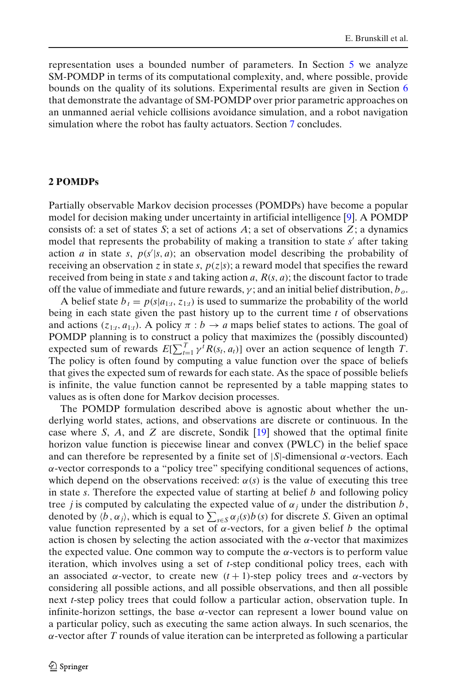<span id="page-3-0"></span>representation uses a bounded number of parameters. In Section [5](#page-17-0) we analyze SM-POMDP in terms of its computational complexity, and, where possible, provide bounds on the quality of its solutions. Experimental results are given in Section [6](#page-25-0) that demonstrate the advantage of SM-POMDP over prior parametric approaches on an unmanned aerial vehicle collisions avoidance simulation, and a robot navigation simulation where the robot has faulty actuators. Section [7](#page-30-0) concludes.

## **2 POMDPs**

Partially observable Markov decision processes (POMDPs) have become a popular model for decision making under uncertainty in artificial intelligence [\[9](#page-31-0)]. A POMDP consists of: a set of states *S*; a set of actions *A*; a set of observations *Z*; a dynamics model that represents the probability of making a transition to state s' after taking action *a* in state *s*,  $p(s'|s, a)$ ; an observation model describing the probability of receiving an observation  $\zeta$  in state  $\zeta$ ,  $p(\zeta|\zeta)$ ; a reward model that specifies the reward received from being in state *s* and taking action *a*, *R*(*s*, *a*); the discount factor to trade off the value of immediate and future rewards,  $\gamma$ ; and an initial belief distribution,  $b_{\alpha}$ .

A belief state  $b_t = p(s|a_{1:t}, z_{1:t})$  is used to summarize the probability of the world being in each state given the past history up to the current time *t* of observations and actions  $(z_{1:t}, a_{1:t})$ . A policy  $\pi : b \to a$  maps belief states to actions. The goal of POMDP planning is to construct a policy that maximizes the (possibly discounted) expected sum of rewards  $E[\sum_{t=1}^{T} \gamma^t R(s_t, a_t)]$  over an action sequence of length *T*. The policy is often found by computing a value function over the space of beliefs that gives the expected sum of rewards for each state. As the space of possible beliefs is infinite, the value function cannot be represented by a table mapping states to values as is often done for Markov decision processes.

The POMDP formulation described above is agnostic about whether the underlying world states, actions, and observations are discrete or continuous. In the case where *S*, *A*, and *Z* are discrete, Sondik [\[19](#page-31-0)] showed that the optimal finite horizon value function is piecewise linear and convex (PWLC) in the belief space and can therefore be represented by a finite set of |*S*|-dimensional α-vectors. Each  $\alpha$ -vector corresponds to a "policy tree" specifying conditional sequences of actions, which depend on the observations received:  $\alpha(s)$  is the value of executing this tree in state *s*. Therefore the expected value of starting at belief *b* and following policy tree *j* is computed by calculating the expected value of  $\alpha_j$  under the distribution *b*, denoted by  $\langle b, \alpha_j \rangle$ , which is equal to  $\sum_{s \in S} \alpha_j(s) b(s)$  for discrete *S*. Given an optimal value function represented by a set of  $\alpha$ -vectors, for a given belief *b* the optimal action is chosen by selecting the action associated with the  $\alpha$ -vector that maximizes the expected value. One common way to compute the  $\alpha$ -vectors is to perform value iteration, which involves using a set of *t*-step conditional policy trees, each with an associated  $\alpha$ -vector, to create new  $(t + 1)$ -step policy trees and  $\alpha$ -vectors by considering all possible actions, and all possible observations, and then all possible next *t*-step policy trees that could follow a particular action, observation tuple. In infinite-horizon settings, the base  $\alpha$ -vector can represent a lower bound value on a particular policy, such as executing the same action always. In such scenarios, the α-vector after *T* rounds of value iteration can be interpreted as following a particular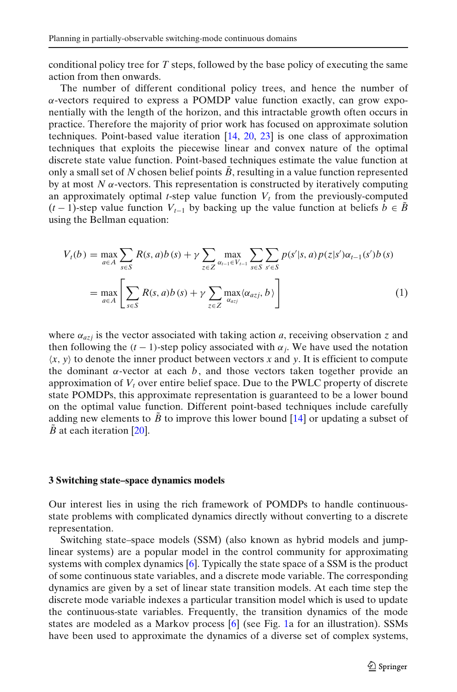<span id="page-4-0"></span>conditional policy tree for *T* steps, followed by the base policy of executing the same action from then onwards.

The number of different conditional policy trees, and hence the number of α-vectors required to express a POMDP value function exactly, can grow exponentially with the length of the horizon, and this intractable growth often occurs in practice. Therefore the majority of prior work has focused on approximate solution techniques. Point-based value iteration  $[14, 20, 23]$  $[14, 20, 23]$  $[14, 20, 23]$  $[14, 20, 23]$  $[14, 20, 23]$  $[14, 20, 23]$  is one class of approximation techniques that exploits the piecewise linear and convex nature of the optimal discrete state value function. Point-based techniques estimate the value function at only a small set of N chosen belief points  $\tilde{B}$ , resulting in a value function represented by at most  $N \alpha$ -vectors. This representation is constructed by iteratively computing an approximately optimal *t*-step value function  $V_t$  from the previously-computed  $(t-1)$ -step value function  $V_{t-1}$  by backing up the value function at beliefs  $b \in \tilde{B}$ using the Bellman equation:

$$
V_t(b) = \max_{a \in A} \sum_{s \in S} R(s, a)b(s) + \gamma \sum_{z \in Z} \max_{\alpha_{t-1} \in V_{t-1}} \sum_{s \in S} \sum_{s' \in S} p(s'|s, a) p(z|s') \alpha_{t-1}(s')b(s)
$$

$$
= \max_{a \in A} \left[ \sum_{s \in S} R(s, a)b(s) + \gamma \sum_{z \in Z} \max_{\alpha_{\alpha zj}} \langle \alpha_{\alpha zj}, b \rangle \right]
$$
(1)

where  $\alpha_{azj}$  is the vector associated with taking action *a*, receiving observation *z* and then following the  $(t - 1)$ -step policy associated with  $\alpha_j$ . We have used the notation  $\langle x, y \rangle$  to denote the inner product between vectors *x* and *y*. It is efficient to compute the dominant  $\alpha$ -vector at each  $b$ , and those vectors taken together provide an approximation of  $V_t$  over entire belief space. Due to the PWLC property of discrete state POMDPs, this approximate representation is guaranteed to be a lower bound on the optimal value function. Different point-based techniques include carefully adding new elements to  $\tilde{B}$  to improve this lower bound [\[14](#page-31-0)] or updating a subset of  $\ddot{B}$  at each iteration [\[20\]](#page-31-0).

# **3 Switching state–space dynamics models**

Our interest lies in using the rich framework of POMDPs to handle continuousstate problems with complicated dynamics directly without converting to a discrete representation.

Switching state–space models (SSM) (also known as hybrid models and jumplinear systems) are a popular model in the control community for approximating systems with complex dynamics [\[6\]](#page-31-0). Typically the state space of a SSM is the product of some continuous state variables, and a discrete mode variable. The corresponding dynamics are given by a set of linear state transition models. At each time step the discrete mode variable indexes a particular transition model which is used to update the continuous-state variables. Frequently, the transition dynamics of the mode states are modeled as a Markov process [\[6](#page-31-0)] (see Fig. [1a](#page-5-0) for an illustration). SSMs have been used to approximate the dynamics of a diverse set of complex systems,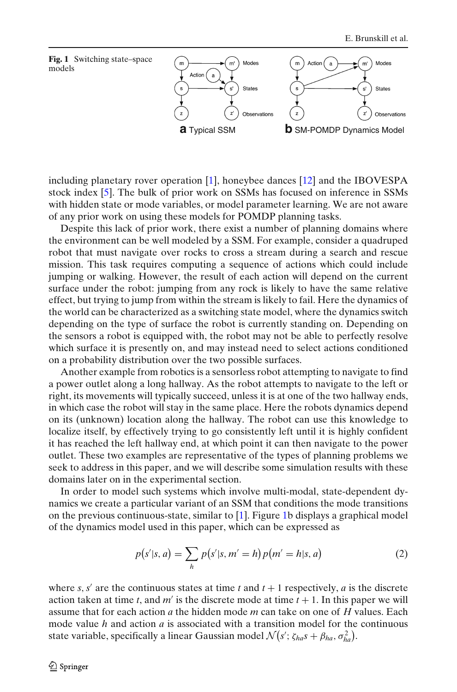<span id="page-5-0"></span>

including planetary rover operation [\[1\]](#page-31-0), honeybee dances [\[12\]](#page-31-0) and the IBOVESPA stock index [\[5\]](#page-31-0). The bulk of prior work on SSMs has focused on inference in SSMs with hidden state or mode variables, or model parameter learning. We are not aware of any prior work on using these models for POMDP planning tasks.

Despite this lack of prior work, there exist a number of planning domains where the environment can be well modeled by a SSM. For example, consider a quadruped robot that must navigate over rocks to cross a stream during a search and rescue mission. This task requires computing a sequence of actions which could include jumping or walking. However, the result of each action will depend on the current surface under the robot: jumping from any rock is likely to have the same relative effect, but trying to jump from within the stream is likely to fail. Here the dynamics of the world can be characterized as a switching state model, where the dynamics switch depending on the type of surface the robot is currently standing on. Depending on the sensors a robot is equipped with, the robot may not be able to perfectly resolve which surface it is presently on, and may instead need to select actions conditioned on a probability distribution over the two possible surfaces.

Another example from robotics is a sensorless robot attempting to navigate to find a power outlet along a long hallway. As the robot attempts to navigate to the left or right, its movements will typically succeed, unless it is at one of the two hallway ends, in which case the robot will stay in the same place. Here the robots dynamics depend on its (unknown) location along the hallway. The robot can use this knowledge to localize itself, by effectively trying to go consistently left until it is highly confident it has reached the left hallway end, at which point it can then navigate to the power outlet. These two examples are representative of the types of planning problems we seek to address in this paper, and we will describe some simulation results with these domains later on in the experimental section.

In order to model such systems which involve multi-modal, state-dependent dynamics we create a particular variant of an SSM that conditions the mode transitions on the previous continuous-state, similar to [\[1\]](#page-31-0). Figure 1b displays a graphical model of the dynamics model used in this paper, which can be expressed as

$$
p(s'|s, a) = \sum_{h} p(s'|s, m' = h)p(m' = h|s, a)
$$
 (2)

where  $s$ ,  $s'$  are the continuous states at time  $t$  and  $t + 1$  respectively,  $a$  is the discrete action taken at time  $t$ , and  $m'$  is the discrete mode at time  $t + 1$ . In this paper we will assume that for each action *a* the hidden mode *m* can take on one of *H* values. Each mode value *h* and action *a* is associated with a transition model for the continuous state variable, specifically a linear Gaussian model  $\mathcal{N}(s'; \zeta_{ha}s + \beta_{ha}, \sigma_{ha}^2)$ .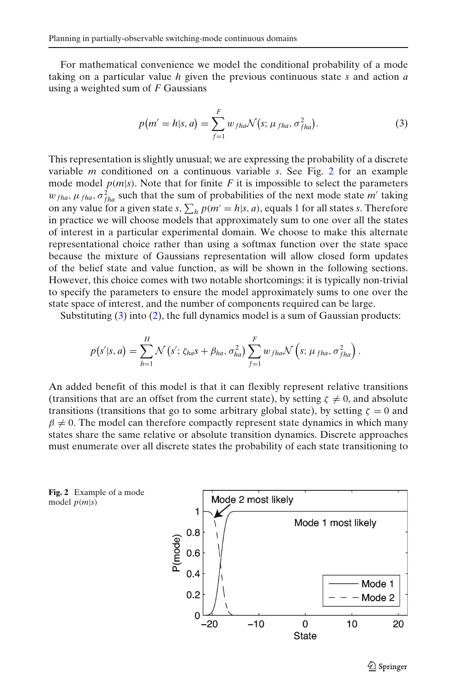<span id="page-6-0"></span>For mathematical convenience we model the conditional probability of a mode taking on a particular value *h* given the previous continuous state *s* and action *a* using a weighted sum of *F* Gaussians

$$
p(m'=h|s,a) = \sum_{f=1}^{F} w_{fha} \mathcal{N}(s; \mu_{fha}, \sigma_{fha}^2).
$$
 (3)

This representation is slightly unusual; we are expressing the probability of a discrete variable *m* conditioned on a continuous variable *s*. See Fig. 2 for an example mode model  $p(m|s)$ . Note that for finite  $F$  it is impossible to select the parameters  $w_{fha}$ ,  $\mu_{fha}$ ,  $\sigma_{fha}^2$  such that the sum of probabilities of the next mode state *m'* taking on any value for a given state *s*,  $\sum_h p(m' = h|s, a)$ , equals 1 for all states *s*. Therefore in practice we will choose models that approximately sum to one over all the states of interest in a particular experimental domain. We choose to make this alternate representational choice rather than using a softmax function over the state space because the mixture of Gaussians representation will allow closed form updates of the belief state and value function, as will be shown in the following sections. However, this choice comes with two notable shortcomings: it is typically non-trivial to specify the parameters to ensure the model approximately sums to one over the state space of interest, and the number of components required can be large.

Substituting  $(3)$  into  $(2)$ , the full dynamics model is a sum of Gaussian products:

$$
p(s'|s, a) = \sum_{h=1}^{H} \mathcal{N}(s'; \zeta_{ha}s + \beta_{ha}, \sigma_{ha}^2) \sum_{f=1}^{F} w_{fha} \mathcal{N}(s; \mu_{fha}, \sigma_{fha}^2).
$$

An added benefit of this model is that it can flexibly represent relative transitions (transitions that are an offset from the current state), by setting  $\zeta \neq 0$ , and absolute transitions (transitions that go to some arbitrary global state), by setting  $\zeta = 0$  and  $\beta \neq 0$ . The model can therefore compactly represent state dynamics in which many states share the same relative or absolute transition dynamics. Discrete approaches must enumerate over all discrete states the probability of each state transitioning to

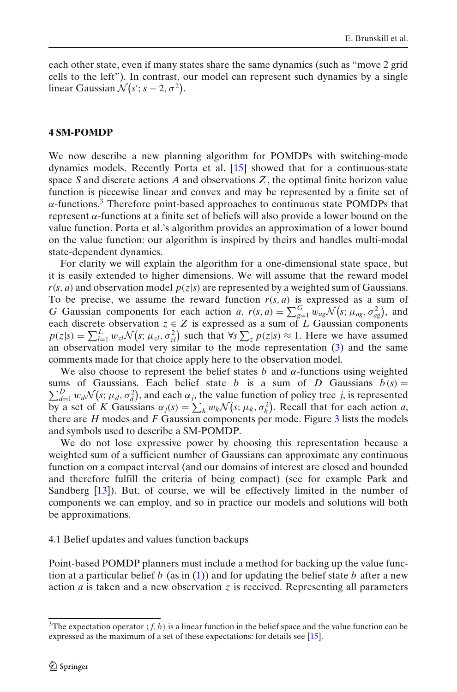<span id="page-7-0"></span>each other state, even if many states share the same dynamics (such as "move 2 grid cells to the left"). In contrast, our model can represent such dynamics by a single linear Gaussian  $\mathcal{N}(s'; s-2, \sigma^2)$ .

# **4 SM-POMDP**

We now describe a new planning algorithm for POMDPs with switching-mode dynamics models. Recently Porta et al. [\[15](#page-31-0)] showed that for a continuous-state space *S* and discrete actions *A* and observations *Z*, the optimal finite horizon value function is piecewise linear and convex and may be represented by a finite set of  $\alpha$ -functions.<sup>3</sup> Therefore point-based approaches to continuous state POMDPs that represent α-functions at a finite set of beliefs will also provide a lower bound on the value function. Porta et al.'s algorithm provides an approximation of a lower bound on the value function: our algorithm is inspired by theirs and handles multi-modal state-dependent dynamics.

For clarity we will explain the algorithm for a one-dimensional state space, but it is easily extended to higher dimensions. We will assume that the reward model  $r(s, a)$  and observation model  $p(z|s)$  are represented by a weighted sum of Gaussians. To be precise, we assume the reward function *r*(*s*, *a*) is expressed as a sum of *G* Gaussian components for each action *a*,  $r(s, a) = \sum_{g=1}^{G} w_{ag} \mathcal{N}(s; \mu_{ag}, \sigma_{ag}^2)$ , and each discrete observation  $z \in Z$  is expressed as a sum of  $L$  Gaussian components  $p(z|s) = \sum_{l=1}^{L} w_{zl} \mathcal{N}(s; \mu_{zl}, \sigma_{zl}^2)$  such that  $\forall s \sum_{z} p(z|s) \approx 1$ . Here we have assumed an observation model very similar to the mode representation [\(3\)](#page-6-0) and the same comments made for that choice apply here to the observation model.

We also choose to represent the belief states  $b$  and  $\alpha$ -functions using weighted sums of Gaussians. Each belief state *b* is a sum of *D* Gaussians  $b(s) = \sum_{n=0}^{n} a_n \lambda(s; u_n, \sigma^2)$  and each  $\alpha$ , the value function of policy tree *i* is represented  $\sum_{d=1}^{D} w_d \mathcal{N}(s; \mu_d, \sigma_d^2)$ , and each  $\alpha_j$ , the value function of policy tree *j*, is represented by a set of *K* Gaussians  $\alpha_j(s) = \sum_k w_k \mathcal{N}(s; \mu_k, \sigma_k^2)$ . Recall that for each action *a*, there are *H* modes and *F* Gaussian components per mode. Figure [3](#page-8-0) lists the models and symbols used to describe a SM-POMDP.

We do not lose expressive power by choosing this representation because a weighted sum of a sufficient number of Gaussians can approximate any continuous function on a compact interval (and our domains of interest are closed and bounded and therefore fulfill the criteria of being compact) (see for example Park and Sandberg [\[13](#page-31-0)]). But, of course, we will be effectively limited in the number of components we can employ, and so in practice our models and solutions will both be approximations.

# 4.1 Belief updates and values function backups

Point-based POMDP planners must include a method for backing up the value function at a particular belief *b* (as in  $(1)$ ) and for updating the belief state *b* after a new action *a* is taken and a new observation *z* is received. Representing all parameters

<sup>&</sup>lt;sup>3</sup>The expectation operator  $\langle f, b \rangle$  is a linear function in the belief space and the value function can be expressed as the maximum of a set of these expectations: for details see [\[15](#page-31-0)].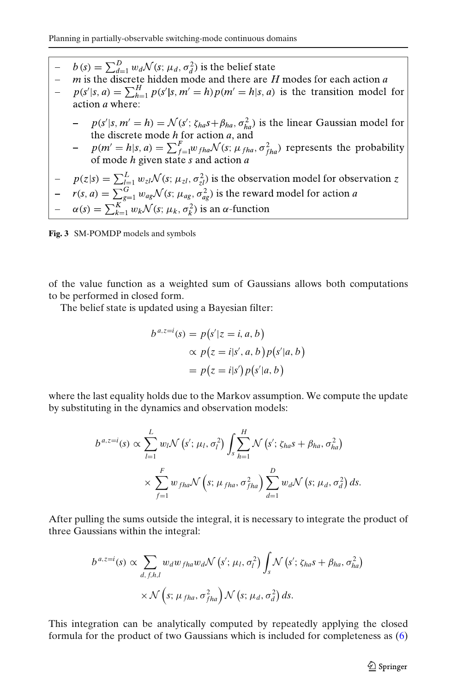- 
- 
- <span id="page-8-0"></span> $b(s) = \sum_{d=1}^{D} w_d \mathcal{N}(s; \mu_d, \sigma_d^2)$  is the belief state<br> *m* is the discrete hidden mode and there are *H* modes for each action *a*<br>  $p(s'|s, a) = \sum_{h=1}^{H} p(s'|s, m' = h) p(m' = h|s, a)$  is the transition model for action *a* where:
	- $p(s'|s, m' = h) = \mathcal{N}(s'; \zeta_{ha}s + \beta_{ha}, \sigma_{ha}^2)$  is the linear Gaussian model for<br>the discrete mode *h* for action *a*, and<br> $p(m' = h|s, a) = \sum_{f=1}^{F} w_{fha} \mathcal{N}(s; \mu_{fha}, \sigma_{fha}^2)$  represents the probability<br>of mode *h* given state
	-
- $p(z|s) = \sum_{l=1}^{L} w_{zt} \mathcal{N}(s; \mu_{zt}, \sigma_{zt}^2)$  is the observation model for observation  $z$ <br>  $r(s, a) = \sum_{g=1}^{G} w_{ag} \mathcal{N}(s; \mu_{ag}, \sigma_{ag}^2)$  is the reward model for action a
- 

- 
$$
\alpha(s) = \sum_{k=1}^{K} w_k \mathcal{N}(s; \mu_k, \sigma_k^2)
$$
 is an  $\alpha$ -function

**Fig. 3** SM-POMDP models and symbols

of the value function as a weighted sum of Gaussians allows both computations to be performed in closed form.

The belief state is updated using a Bayesian filter:

$$
b^{a,z=i}(s) = p(s'|z = i, a, b)
$$
  
\n
$$
\propto p(z = i|s', a, b)p(s'|a, b)
$$
  
\n
$$
= p(z = i|s')p(s'|a, b)
$$

where the last equality holds due to the Markov assumption. We compute the update by substituting in the dynamics and observation models:

$$
b^{a,z=i}(s) \propto \sum_{l=1}^{L} w_l \mathcal{N}\left(s';\,\mu_l,\,\sigma_l^2\right) \int_s \sum_{h=1}^{H} \mathcal{N}\left(s';\,\zeta_{ha}s + \beta_{ha},\,\sigma_{ha}^2\right) \times \sum_{f=1}^{F} w_{fha} \mathcal{N}\left(s;\,\mu_{fha},\,\sigma_{fha}^2\right) \sum_{d=1}^{D} w_d \mathcal{N}\left(s;\,\mu_d,\,\sigma_d^2\right) ds.
$$

After pulling the sums outside the integral, it is necessary to integrate the product of three Gaussians within the integral:

$$
b^{a,z=i}(s) \propto \sum_{d,f,h,l} w_d w_{fha} w_d \mathcal{N}\left(s';\,\mu_l,\,\sigma_l^2\right) \int_s \mathcal{N}\left(s';\,\zeta_{ha}s + \beta_{ha},\,\sigma_{ha}^2\right) \times \mathcal{N}\left(s;\,\mu_{fha},\,\sigma_{fha}^2\right) \mathcal{N}\left(s;\,\mu_d,\,\sigma_d^2\right) ds.
$$

This integration can be analytically computed by repeatedly applying the closed formula for the product of two Gaussians which is included for completeness as [\(6\)](#page-30-0)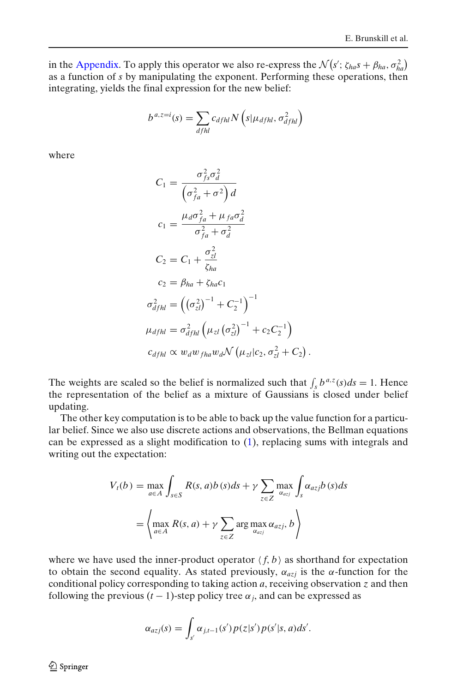in the [Appendix.](#page-30-0) To apply this operator we also re-express the  $\mathcal{N}(s'; \zeta_{ha}s + \beta_{ha}, \sigma_{ha}^2)$ as a function of *s* by manipulating the exponent. Performing these operations, then integrating, yields the final expression for the new belief:

$$
b^{a,z=i}(s) = \sum_{dfhl} c_{dfhl} N\left(s|\mu_{dfhl}, \sigma_{dfhl}^2\right)
$$

where

$$
C_1 = \frac{\sigma_{fs}^2 \sigma_d^2}{\left(\sigma_{fa}^2 + \sigma^2\right) d}
$$
  
\n
$$
c_1 = \frac{\mu_d \sigma_{fa}^2 + \mu_{fa} \sigma_d^2}{\sigma_{fa}^2 + \sigma_d^2}
$$
  
\n
$$
C_2 = C_1 + \frac{\sigma_{zl}^2}{\zeta_{ha}}
$$
  
\n
$$
c_2 = \beta_{ha} + \zeta_{ha} c_1
$$
  
\n
$$
\sigma_{dfhl}^2 = \left(\left(\sigma_{zl}^2\right)^{-1} + C_2^{-1}\right)^{-1}
$$
  
\n
$$
\mu_{dfhl} = \sigma_{dfhl}^2 \left(\mu_{zl} \left(\sigma_{zl}^2\right)^{-1} + c_2 C_2^{-1}\right)
$$
  
\n
$$
c_{dfhl} \propto w_d w_{fha} w_d \mathcal{N} \left(\mu_{zl} | c_2, \sigma_{zl}^2 + C_2\right)
$$

The weights are scaled so the belief is normalized such that  $\int_s b^{a,z}(s)ds = 1$ . Hence the representation of the belief as a mixture of Gaussians is closed under belief updating.

.

The other key computation is to be able to back up the value function for a particular belief. Since we also use discrete actions and observations, the Bellman equations can be expressed as a slight modification to  $(1)$ , replacing sums with integrals and writing out the expectation:

$$
V_t(b) = \max_{a \in A} \int_{s \in S} R(s, a)b(s)ds + \gamma \sum_{z \in Z} \max_{\alpha_{aj}} \int_s \alpha_{azj}b(s)ds
$$

$$
= \left\langle \max_{a \in A} R(s, a) + \gamma \sum_{z \in Z} \arg \max_{\alpha_{aj}} \alpha_{azj}, b \right\rangle
$$

where we have used the inner-product operator  $\langle f, b \rangle$  as shorthand for expectation to obtain the second equality. As stated previously,  $\alpha_{azj}$  is the  $\alpha$ -function for the conditional policy corresponding to taking action *a*, receiving observation *z* and then following the previous  $(t - 1)$ -step policy tree  $\alpha_j$ , and can be expressed as

$$
\alpha_{azj}(s) = \int_{s'} \alpha_{j,t-1}(s') p(z|s') p(s'|s,a) ds'.
$$

2 Springer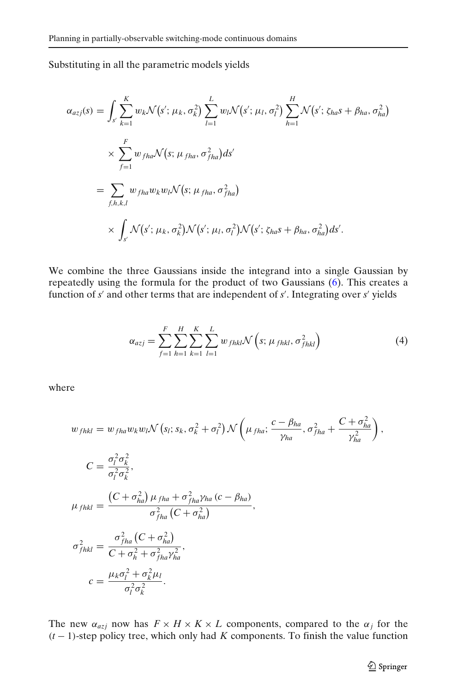<span id="page-10-0"></span>Substituting in all the parametric models yields

$$
\alpha_{azj}(s) = \int_{s'} \sum_{k=1}^{K} w_k \mathcal{N}(s'; \mu_k, \sigma_k^2) \sum_{l=1}^{L} w_l \mathcal{N}(s'; \mu_l, \sigma_l^2) \sum_{h=1}^{H} \mathcal{N}(s'; \zeta_{ha}s + \beta_{ha}, \sigma_{ha}^2)
$$
  

$$
\times \sum_{f=1}^{F} w_{fha} \mathcal{N}(s; \mu_{fha}, \sigma_{fha}^2) ds'
$$
  

$$
= \sum_{f,h,k,l} w_{fha} w_k w_l \mathcal{N}(s; \mu_{fha}, \sigma_{fha}^2)
$$
  

$$
\times \int_{s'} \mathcal{N}(s'; \mu_k, \sigma_k^2) \mathcal{N}(s'; \mu_l, \sigma_l^2) \mathcal{N}(s'; \zeta_{ha}s + \beta_{ha}, \sigma_{ha}^2) ds'.
$$

We combine the three Gaussians inside the integrand into a single Gaussian by repeatedly using the formula for the product of two Gaussians [\(6\)](#page-30-0). This creates a function of *s'* and other terms that are independent of *s'*. Integrating over *s'* yields

$$
\alpha_{azj} = \sum_{f=1}^{F} \sum_{h=1}^{H} \sum_{k=1}^{K} \sum_{l=1}^{L} w_{fhkl} \mathcal{N}\left(s; \mu_{fhkl}, \sigma_{fhkl}^2\right)
$$
(4)

where

$$
w_{f h k l} = w_{f h a} w_{k} w_{l} \mathcal{N} \left( s_{l}; s_{k}, \sigma_{k}^{2} + \sigma_{l}^{2} \right) \mathcal{N} \left( \mu_{f h a}; \frac{c - \beta_{h a}}{\gamma_{h a}}, \sigma_{f h a}^{2} + \frac{C + \sigma_{h a}^{2}}{\gamma_{h a}^{2}} \right),
$$
  
\n
$$
C = \frac{\sigma_{l}^{2} \sigma_{k}^{2}}{\sigma_{l}^{2} \sigma_{k}^{2}},
$$
  
\n
$$
\mu_{f h k l} = \frac{\left( C + \sigma_{h a}^{2} \right) \mu_{f h a} + \sigma_{f h a}^{2} \gamma_{h a} \left( c - \beta_{h a} \right)}{\sigma_{f h a}^{2} \left( C + \sigma_{h a}^{2} \right)},
$$
  
\n
$$
\sigma_{f h k l}^{2} = \frac{\sigma_{f h a}^{2} \left( C + \sigma_{h a}^{2} \right)}{C + \sigma_{h}^{2} + \sigma_{f h a}^{2} \gamma_{h a}^{2}},
$$
  
\n
$$
c = \frac{\mu_{k} \sigma_{l}^{2} + \sigma_{k}^{2} \mu_{l}}{\sigma_{l}^{2} \sigma_{k}^{2}}.
$$

The new  $\alpha_{azj}$  now has  $F \times H \times K \times L$  components, compared to the  $\alpha_j$  for the (*t* − 1)-step policy tree, which only had *K* components. To finish the value function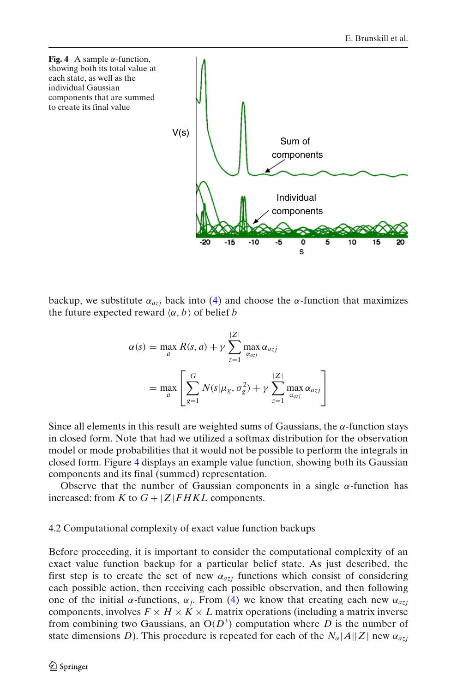<span id="page-11-0"></span>

backup, we substitute  $\alpha_{q\bar{z}i}$  back into [\(4\)](#page-10-0) and choose the  $\alpha$ -function that maximizes the future expected reward  $\langle \alpha, b \rangle$  of belief *b* 

$$
\alpha(s) = \max_{a} R(s, a) + \gamma \sum_{z=1}^{|Z|} \max_{\alpha_{azj}} \alpha_{azj}
$$

$$
= \max_{a} \left[ \sum_{g=1}^{G} N(s | \mu_g, \sigma_g^2) + \gamma \sum_{z=1}^{|Z|} \max_{\alpha_{azj}} \alpha_{azj} \right]
$$

Since all elements in this result are weighted sums of Gaussians, the  $\alpha$ -function stays in closed form. Note that had we utilized a softmax distribution for the observation model or mode probabilities that it would not be possible to perform the integrals in closed form. Figure 4 displays an example value function, showing both its Gaussian components and its final (summed) representation.

Observe that the number of Gaussian components in a single  $\alpha$ -function has increased: from *K* to  $G + |Z|$ *FHKL* components.

#### 4.2 Computational complexity of exact value function backups

Before proceeding, it is important to consider the computational complexity of an exact value function backup for a particular belief state. As just described, the first step is to create the set of new  $\alpha_{azi}$  functions which consist of considering each possible action, then receiving each possible observation, and then following one of the initial  $\alpha$ -functions,  $\alpha_j$ . From [\(4\)](#page-10-0) we know that creating each new  $\alpha_{qzj}$ components, involves  $F \times H \times K \times L$  matrix operations (including a matrix inverse from combining two Gaussians, an  $O(D^3)$  computation where *D* is the number of state dimensions *D*). This procedure is repeated for each of the  $N_{\alpha}$ |A||Z| new  $\alpha_{\alpha zj}$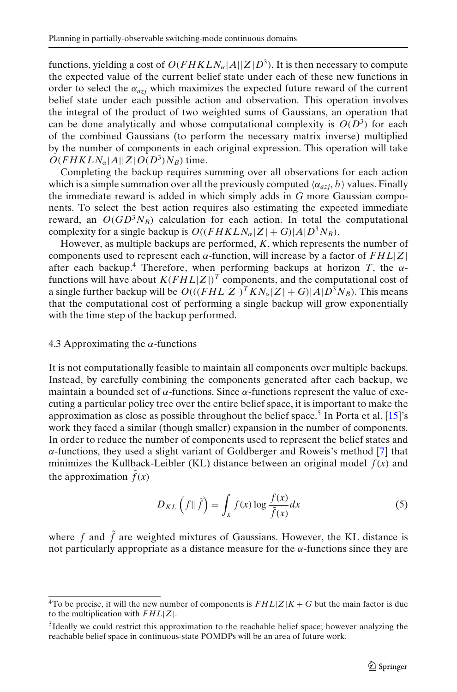functions, yielding a cost of  $O(FHKLN_{\alpha}|A||Z|D^3)$ . It is then necessary to compute the expected value of the current belief state under each of these new functions in order to select the  $\alpha_{azi}$  which maximizes the expected future reward of the current belief state under each possible action and observation. This operation involves the integral of the product of two weighted sums of Gaussians, an operation that can be done analytically and whose computational complexity is  $O(D^3)$  for each of the combined Gaussians (to perform the necessary matrix inverse) multiplied by the number of components in each original expression. This operation will take  $O(FHKLN_{\alpha}|A||Z|O(D^3)N_B)$  time.

Completing the backup requires summing over all observations for each action which is a simple summation over all the previously computed  $\langle \alpha_{azi}, b \rangle$  values. Finally the immediate reward is added in which simply adds in *G* more Gaussian components. To select the best action requires also estimating the expected immediate reward, an  $O(GD^3N_B)$  calculation for each action. In total the computational complexity for a single backup is  $O((FHKLN_{\alpha}|Z| + G)|A|D^3N_B)$ .

However, as multiple backups are performed, *K*, which represents the number of components used to represent each  $\alpha$ -function, will increase by a factor of  $FHL|Z|$ after each backup.<sup>4</sup> Therefore, when performing backups at horizon *T*, the  $\alpha$ functions will have about  $K(FHL|Z|)^T$  components, and the computational cost of a single further backup will be  $O((\sqrt{FHL}|Z|)^T K N_{\alpha} |Z| + G |A| D^3 N_B)$ . This means that the computational cost of performing a single backup will grow exponentially with the time step of the backup performed.

## 4.3 Approximating the  $\alpha$ -functions

It is not computationally feasible to maintain all components over multiple backups. Instead, by carefully combining the components generated after each backup, we maintain a bounded set of  $\alpha$ -functions. Since  $\alpha$ -functions represent the value of executing a particular policy tree over the entire belief space, it is important to make the approximation as close as possible throughout the belief space.<sup>5</sup> In Porta et al. [\[15](#page-31-0)]'s work they faced a similar (though smaller) expansion in the number of components. In order to reduce the number of components used to represent the belief states and  $\alpha$ -functions, they used a slight variant of Goldberger and Roweis's method [\[7](#page-31-0)] that minimizes the Kullback-Leibler (KL) distance between an original model  $f(x)$  and the approximation  $\tilde{f}(x)$ 

$$
D_{KL}\left(f||\tilde{f}\right) = \int_{x} f(x) \log \frac{f(x)}{\tilde{f}(x)} dx
$$
\n(5)

where  $f$  and  $\tilde{f}$  are weighted mixtures of Gaussians. However, the KL distance is not particularly appropriate as a distance measure for the α-functions since they are

<sup>&</sup>lt;sup>4</sup>To be precise, it will the new number of components is  $FHL|Z|K + G$  but the main factor is due to the multiplication with *FHL*|*Z*|.

<sup>&</sup>lt;sup>5</sup>Ideally we could restrict this approximation to the reachable belief space; however analyzing the reachable belief space in continuous-state POMDPs will be an area of future work.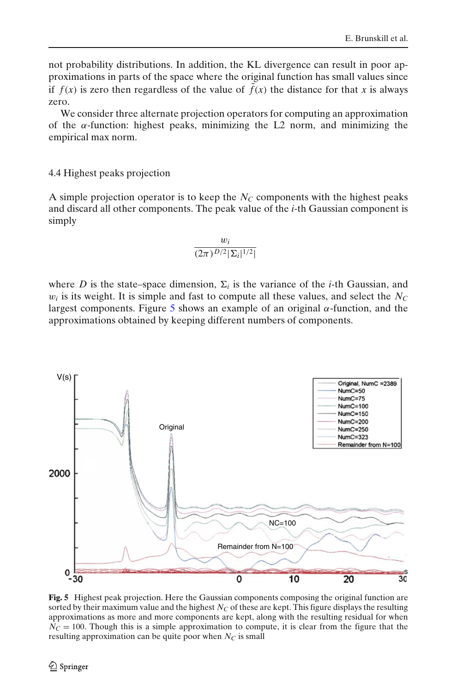<span id="page-13-0"></span>not probability distributions. In addition, the KL divergence can result in poor approximations in parts of the space where the original function has small values since if  $f(x)$  is zero then regardless of the value of  $\tilde{f}(x)$  the distance for that *x* is always zero.

We consider three alternate projection operators for computing an approximation of the  $\alpha$ -function: highest peaks, minimizing the L2 norm, and minimizing the empirical max norm.

4.4 Highest peaks projection

A simple projection operator is to keep the  $N<sub>C</sub>$  components with the highest peaks and discard all other components. The peak value of the *i*-th Gaussian component is simply

$$
\frac{w_i}{(2\pi)^{D/2}|\Sigma_i|^{1/2}|}
$$

where *D* is the state–space dimension,  $\Sigma_i$  is the variance of the *i*-th Gaussian, and  $w_i$  is its weight. It is simple and fast to compute all these values, and select the  $N_C$ largest components. Figure 5 shows an example of an original  $\alpha$ -function, and the approximations obtained by keeping different numbers of components.



**Fig. 5** Highest peak projection. Here the Gaussian components composing the original function are sorted by their maximum value and the highest  $N_C$  of these are kept. This figure displays the resulting approximations as more and more components are kept, along with the resulting residual for when  $N_c = 100$ . Though this is a simple approximation to compute, it is clear from the figure that the resulting approximation can be quite poor when  $N_c$  is small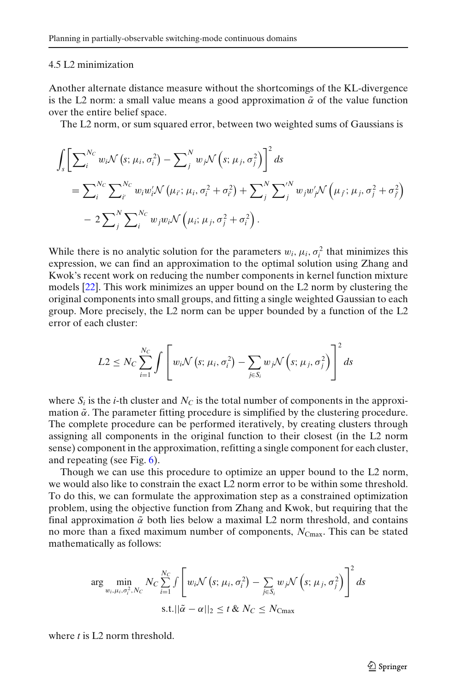#### <span id="page-14-0"></span>4.5 L2 minimization

Another alternate distance measure without the shortcomings of the KL-divergence is the L2 norm: a small value means a good approximation  $\tilde{\alpha}$  of the value function over the entire belief space.

The L2 norm, or sum squared error, between two weighted sums of Gaussians is

$$
\int_{s} \left[ \sum_{i}^{N_C} w_i \mathcal{N} \left( s; \mu_i, \sigma_i^2 \right) - \sum_{j}^{N} w_j \mathcal{N} \left( s; \mu_j, \sigma_j^2 \right) \right]^2 ds
$$
\n
$$
= \sum_{i}^{N_C} \sum_{i'}^{N_C} w_i w_i' \mathcal{N} \left( \mu_i; \mu_i, \sigma_i^2 + \sigma_i^2 \right) + \sum_{j}^{N} \sum_{j}^{N} w_j w_j' \mathcal{N} \left( \mu_j; \mu_j, \sigma_j^2 + \sigma_j^2 \right)
$$
\n
$$
- 2 \sum_{j}^{N} \sum_{i}^{N_C} w_j w_i \mathcal{N} \left( \mu_i; \mu_j, \sigma_j^2 + \sigma_i^2 \right).
$$

While there is no analytic solution for the parameters  $w_i$ ,  $\mu_i$ ,  $\sigma_i^2$  that minimizes this expression, we can find an approximation to the optimal solution using Zhang and Kwok's recent work on reducing the number components in kernel function mixture models [\[22\]](#page-31-0). This work minimizes an upper bound on the L2 norm by clustering the original components into small groups, and fitting a single weighted Gaussian to each group. More precisely, the L2 norm can be upper bounded by a function of the L2 error of each cluster:

$$
L2 \leq N_C \sum_{i=1}^{N_C} \int \left[ w_i \mathcal{N}\left(s; \mu_i, \sigma_i^2\right) - \sum_{j \in S_i} w_j \mathcal{N}\left(s; \mu_j, \sigma_j^2\right) \right]^2 ds
$$

where  $S_i$  is the *i*-th cluster and  $N_C$  is the total number of components in the approximation  $\tilde{\alpha}$ . The parameter fitting procedure is simplified by the clustering procedure. The complete procedure can be performed iteratively, by creating clusters through assigning all components in the original function to their closest (in the L2 norm sense) component in the approximation, refitting a single component for each cluster, and repeating (see Fig. [6\)](#page-15-0).

Though we can use this procedure to optimize an upper bound to the L2 norm, we would also like to constrain the exact L2 norm error to be within some threshold. To do this, we can formulate the approximation step as a constrained optimization problem, using the objective function from Zhang and Kwok, but requiring that the final approximation  $\tilde{\alpha}$  both lies below a maximal L2 norm threshold, and contains no more than a fixed maximum number of components,  $N_{\text{Cmax}}$ . This can be stated mathematically as follows:

$$
\arg\min_{w_i, \mu_i, \sigma_i^2, N_C} N_C \sum_{i=1}^{N_C} \int \left[ w_i \mathcal{N}\left(s; \mu_i, \sigma_i^2\right) - \sum_{j \in S_i} w_j \mathcal{N}\left(s; \mu_j, \sigma_j^2\right) \right]^2 ds
$$
  
s.t.  $||\tilde{\alpha} - \alpha||_2 \le t \& N_C \le N_{\text{Cmax}}$ 

where *t* is L<sub>2</sub> norm threshold.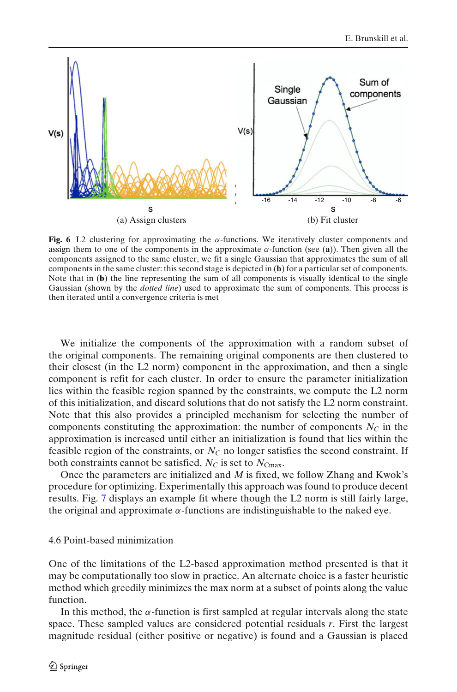<span id="page-15-0"></span>

**Fig. 6** L2 clustering for approximating the  $\alpha$ -functions. We iteratively cluster components and assign them to one of the components in the approximate  $\alpha$ -function (see (a)). Then given all the components assigned to the same cluster, we fit a single Gaussian that approximates the sum of all components in the same cluster: this second stage is depicted in (**b**) for a particular set of components. Note that in (**b**) the line representing the sum of all components is visually identical to the single Gaussian (shown by the *dotted line*) used to approximate the sum of components. This process is then iterated until a convergence criteria is met

We initialize the components of the approximation with a random subset of the original components. The remaining original components are then clustered to their closest (in the L2 norm) component in the approximation, and then a single component is refit for each cluster. In order to ensure the parameter initialization lies within the feasible region spanned by the constraints, we compute the L2 norm of this initialization, and discard solutions that do not satisfy the L2 norm constraint. Note that this also provides a principled mechanism for selecting the number of components constituting the approximation: the number of components  $N_c$  in the approximation is increased until either an initialization is found that lies within the feasible region of the constraints, or  $N<sub>C</sub>$  no longer satisfies the second constraint. If both constraints cannot be satisfied,  $N_c$  is set to  $N_{\text{Cmax}}$ .

Once the parameters are initialized and *M* is fixed, we follow Zhang and Kwok's procedure for optimizing. Experimentally this approach was found to produce decent results. Fig. [7](#page-16-0) displays an example fit where though the L2 norm is still fairly large, the original and approximate  $\alpha$ -functions are indistinguishable to the naked eye.

#### 4.6 Point-based minimization

One of the limitations of the L2-based approximation method presented is that it may be computationally too slow in practice. An alternate choice is a faster heuristic method which greedily minimizes the max norm at a subset of points along the value function.

In this method, the  $\alpha$ -function is first sampled at regular intervals along the state space. These sampled values are considered potential residuals *r*. First the largest magnitude residual (either positive or negative) is found and a Gaussian is placed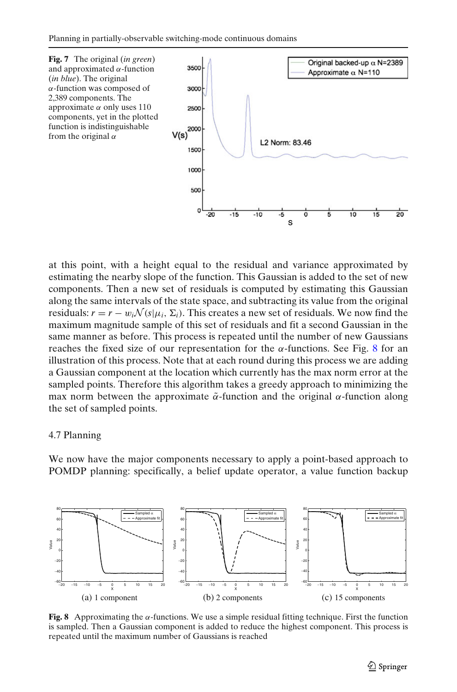<span id="page-16-0"></span>

at this point, with a height equal to the residual and variance approximated by estimating the nearby slope of the function. This Gaussian is added to the set of new components. Then a new set of residuals is computed by estimating this Gaussian along the same intervals of the state space, and subtracting its value from the original residuals:  $r = r - w_i \mathcal{N}(s|\mu_i, \Sigma_i)$ . This creates a new set of residuals. We now find the maximum magnitude sample of this set of residuals and fit a second Gaussian in the same manner as before. This process is repeated until the number of new Gaussians reaches the fixed size of our representation for the  $\alpha$ -functions. See Fig. 8 for an illustration of this process. Note that at each round during this process we are adding a Gaussian component at the location which currently has the max norm error at the sampled points. Therefore this algorithm takes a greedy approach to minimizing the max norm between the approximate  $\tilde{\alpha}$ -function and the original  $\alpha$ -function along the set of sampled points.

#### 4.7 Planning

We now have the major components necessary to apply a point-based approach to POMDP planning: specifically, a belief update operator, a value function backup



**Fig. 8** Approximating the  $\alpha$ -functions. We use a simple residual fitting technique. First the function is sampled. Then a Gaussian component is added to reduce the highest component. This process is repeated until the maximum number of Gaussians is reached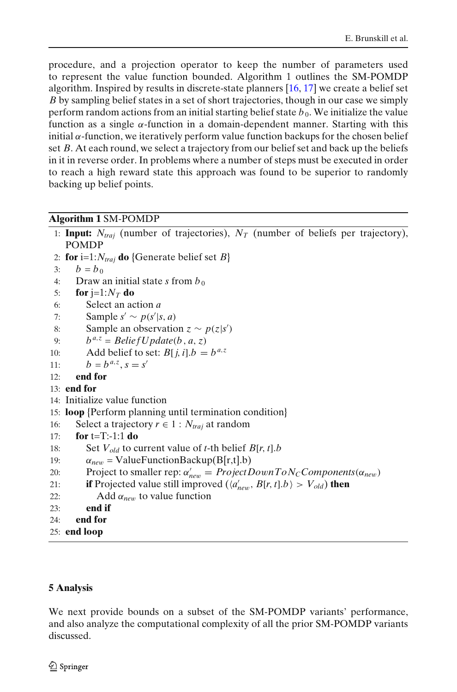<span id="page-17-0"></span>procedure, and a projection operator to keep the number of parameters used to represent the value function bounded. Algorithm 1 outlines the SM-POMDP algorithm. Inspired by results in discrete-state planners  $[16, 17]$  $[16, 17]$  $[16, 17]$  we create a belief set *B* by sampling belief states in a set of short trajectories, though in our case we simply perform random actions from an initial starting belief state  $b<sub>0</sub>$ . We initialize the value function as a single  $\alpha$ -function in a domain-dependent manner. Starting with this initial  $\alpha$ -function, we iteratively perform value function backups for the chosen belief set *B*. At each round, we select a trajectory from our belief set and back up the beliefs in it in reverse order. In problems where a number of steps must be executed in order to reach a high reward state this approach was found to be superior to randomly backing up belief points.

# **Algorithm 1** SM-POMDP

```
1: Input: N_{\text{traj}} (number of trajectories), N_T (number of beliefs per trajectory),
    POMDP
2: for i=1:N_{\text{traj}} do {Generate belief set B}
 3: b = b_04: Draw an initial state s from b<sub>0</sub>5: for j=1:N_T do
6: Select an action a
 7: Sample s' \sim p(s'|s, a)8: Sample an observation z \sim p(z|s')9: b^{a,z} = BeliefUpdate(b, a, z)10: Add belief to set: B[i, i], b = b^{a, z}11: b = b^{a,z}, s = s'12: end for
13: end for
14: Initialize value function
15: loop {Perform planning until termination condition}
16: Select a trajectory r \in 1 : N_{\text{traj}} at random
17: for t=T:-1:1 do
18: Set V_{old} to current value of t-th belief B[r, t].b
19: \alpha_{new} = \text{ValueFunctionBackup}(B[r,t],b)20: Project to smaller rep: \alpha'_{new} = ProjectDownToN_{C}Components(\alpha_{new})21: if Projected value still improved ((a'_{new}, B[r, t], b) > V_{old}) then
22: Add \alpha_{new} to value function
23: end if
24: end for
25: end loop
```
# **5 Analysis**

We next provide bounds on a subset of the SM-POMDP variants' performance, and also analyze the computational complexity of all the prior SM-POMDP variants discussed.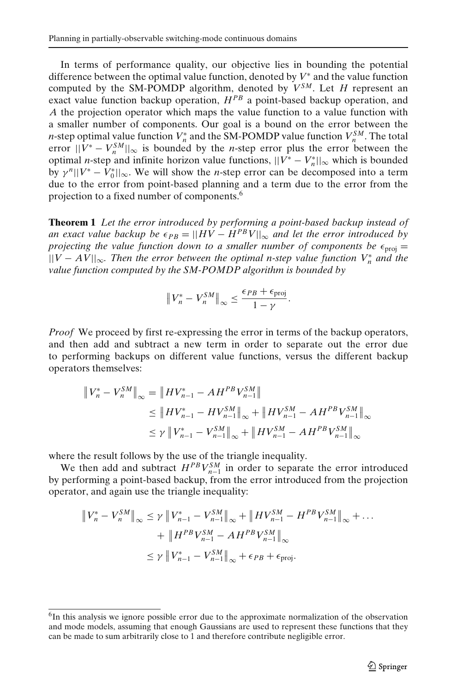In terms of performance quality, our objective lies in bounding the potential difference between the optimal value function, denoted by *V*<sup>∗</sup> and the value function computed by the SM-POMDP algorithm, denoted by  $V^{SM}$ . Let *H* represent an exact value function backup operation, *HPB* a point-based backup operation, and *A* the projection operator which maps the value function to a value function with a smaller number of components. Our goal is a bound on the error between the *n*-step optimal value function  $V_n^*$  and the SM-POMDP value function  $V_n^{SM}$ . The total error  $||V^* - V_n^{SM}||_{\infty}$  is bounded by the *n*-step error plus the error between the optimal *n*-step and infinite horizon value functions,  $||V^* - V^*_{n}||_{\infty}$  which is bounded by  $\gamma^{n} \|\mathbf{V}^{*} - \mathbf{V}_{0}^{*}\|_{\infty}$ . We will show the *n*-step error can be decomposed into a term due to the error from point-based planning and a term due to the error from the projection to a fixed number of components.<sup>6</sup>

**Theorem 1** *Let the error introduced by performing a point-based backup instead of an exact value backup be*  $\epsilon_{PB} = ||HV - H^{PB}V||_{\infty}$  *and let the error introduced by projecting the value function down to a smaller number of components be*  $\epsilon_{\text{proj}} =$ ||*V* − *AV*||∞*. Then the error between the optimal n-step value function V*<sup>∗</sup> *<sup>n</sup> and the value function computed by the SM-POMDP algorithm is bounded by*

$$
\left\|V_n^* - V_n^{SM}\right\|_{\infty} \le \frac{\epsilon_{PB} + \epsilon_{\text{proj}}}{1 - \gamma}.
$$

*Proof* We proceed by first re-expressing the error in terms of the backup operators, and then add and subtract a new term in order to separate out the error due to performing backups on different value functions, versus the different backup operators themselves:

$$
\|V_n^* - V_n^{SM}\|_{\infty} = \|HV_{n-1}^* - AH^{PB}V_{n-1}^{SM}\|
$$
  
\n
$$
\leq \|HV_{n-1}^* - HV_{n-1}^{SM}\|_{\infty} + \|HV_{n-1}^{SM} - AH^{PB}V_{n-1}^{SM}\|_{\infty}
$$
  
\n
$$
\leq \gamma \|V_{n-1}^* - V_{n-1}^{SM}\|_{\infty} + \|HV_{n-1}^{SM} - AH^{PB}V_{n-1}^{SM}\|_{\infty}
$$

where the result follows by the use of the triangle inequality.

We then add and subtract  $H^{PB}V_{n-1}^{SM}$  in order to separate the error introduced by performing a point-based backup, from the error introduced from the projection operator, and again use the triangle inequality:

$$
\|V_n^* - V_n^{SM}\|_{\infty} \le \gamma \|V_{n-1}^* - V_{n-1}^{SM}\|_{\infty} + \|HV_{n-1}^{SM} - H^{PB}V_{n-1}^{SM}\|_{\infty} + \dots + \|H^{PB}V_{n-1}^{SM} - AH^{PB}V_{n-1}^{SM}\|_{\infty} \le \gamma \|V_{n-1}^* - V_{n-1}^{SM}\|_{\infty} + \epsilon_{PB} + \epsilon_{\text{proj}}.
$$

 $<sup>6</sup>$ In this analysis we ignore possible error due to the approximate normalization of the observation</sup> and mode models, assuming that enough Gaussians are used to represent these functions that they can be made to sum arbitrarily close to 1 and therefore contribute negligible error.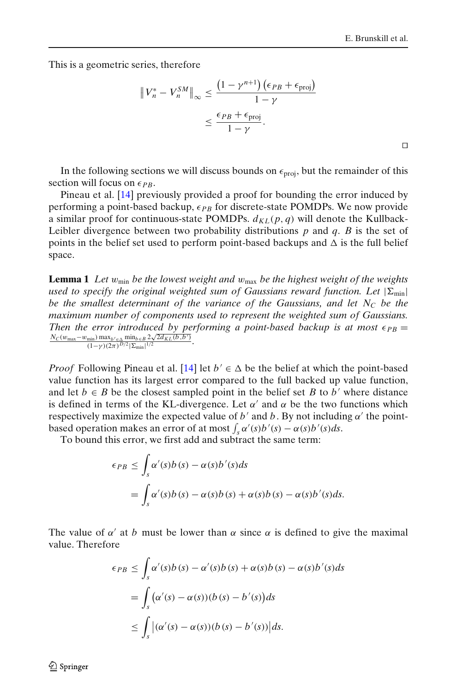$\Box$ 

This is a geometric series, therefore

$$
\|V_n^* - V_n^{SM}\|_{\infty} \le \frac{\left(1 - \gamma^{n+1}\right)\left(\epsilon_{PB} + \epsilon_{\text{proj}}\right)}{1 - \gamma}
$$

$$
\le \frac{\epsilon_{PB} + \epsilon_{\text{proj}}}{1 - \gamma}.
$$

In the following sections we will discuss bounds on  $\epsilon_{\text{proj}}$ , but the remainder of this section will focus on  $\epsilon_{PB}$ .

Pineau et al. [\[14](#page-31-0)] previously provided a proof for bounding the error induced by performing a point-based backup,  $\epsilon_{PB}$  for discrete-state POMDPs. We now provide a similar proof for continuous-state POMDPs.  $d_{KL}(p, q)$  will denote the Kullback-Leibler divergence between two probability distributions *p* and *q*. *B* is the set of points in the belief set used to perform point-based backups and  $\Delta$  is the full belief space.

**Lemma 1** Let  $w_{\text{min}}$  be the lowest weight and  $w_{\text{max}}$  be the highest weight of the weights *used to specify the original weighted sum of Gaussians reward function. Let*  $|\Sigma_{min}|$ *be the smallest determinant of the variance of the Gaussians, and let NC be the maximum number of components used to represent the weighted sum of Gaussians. Then the error introduced by performing a point-based backup is at most*  $\epsilon_{PR}$  =  $\frac{N_C(w_{\text{max}} - w_{\text{min}}) \max_{b' \in \Delta} \min_{b \in B} 2\sqrt{2d_{KL}(b, b')}}{(1-\gamma)(2\pi)^{D/2}|\Sigma_{\text{min}}|^{1/2}}$ .

*Proof* Following Pineau et al. [\[14](#page-31-0)] let  $b' \in \Delta$  be the belief at which the point-based value function has its largest error compared to the full backed up value function, and let  $b \in B$  be the closest sampled point in the belief set *B* to *b*<sup> $\prime$ </sup> where distance is defined in terms of the KL-divergence. Let  $\alpha'$  and  $\alpha$  be the two functions which respectively maximize the expected value of  $b'$  and  $b$ . By not including  $\alpha'$  the pointbased operation makes an error of at most  $\int_s \alpha'(s) b'(s) - \alpha(s) b'(s) ds$ .

To bound this error, we first add and subtract the same term:

$$
\epsilon_{PB} \le \int_s \alpha'(s)b(s) - \alpha(s)b'(s)ds
$$
  
= 
$$
\int_s \alpha'(s)b(s) - \alpha(s)b(s) + \alpha(s)b(s) - \alpha(s)b'(s)ds.
$$

The value of  $\alpha'$  at *b* must be lower than  $\alpha$  since  $\alpha$  is defined to give the maximal value. Therefore

$$
\epsilon_{PB} \leq \int_{s} \alpha'(s)b(s) - \alpha'(s)b(s) + \alpha(s)b(s) - \alpha(s)b'(s)ds
$$
  
= 
$$
\int_{s} (\alpha'(s) - \alpha(s))(b(s) - b'(s))ds
$$
  

$$
\leq \int_{s} |(\alpha'(s) - \alpha(s))(b(s) - b'(s))|ds.
$$

2 Springer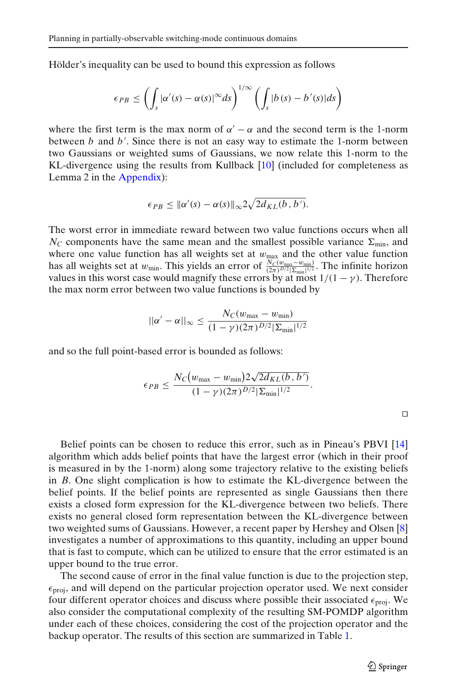Hölder's inequality can be used to bound this expression as follows

$$
\epsilon_{PB} \leq \left( \int_s |\alpha'(s) - \alpha(s)|^\infty ds \right)^{1/\infty} \left( \int_s |b(s) - b'(s)| ds \right)
$$

where the first term is the max norm of  $\alpha' - \alpha$  and the second term is the 1-norm between  $b$  and  $b'$ . Since there is not an easy way to estimate the 1-norm between two Gaussians or weighted sums of Gaussians, we now relate this 1-norm to the KL-divergence using the results from Kullback [\[10\]](#page-31-0) (included for completeness as Lemma 2 in the [Appendix\)](#page-30-0):

$$
\epsilon_{PB} \leq \|\alpha'(s) - \alpha(s)\|_{\infty} 2\sqrt{2d_{KL}(b, b')}.
$$

The worst error in immediate reward between two value functions occurs when all  $N_c$  components have the same mean and the smallest possible variance  $\Sigma_{\text{min}}$ , and where one value function has all weights set at  $w_{\text{max}}$  and the other value function has all weights set at  $w_{\text{min}}$ . This yields an error of  $\frac{N_C(w_{\text{max}}-w_{\text{min}})}{(2\pi)^{D/2}|\Sigma_{\text{min}}|^{1/2}}$ . The infinite horizon values in this worst case would magnify these errors by at most  $1/(1 - \gamma)$ . Therefore the max norm error between two value functions is bounded by

$$
||\alpha' - \alpha||_{\infty} \le \frac{N_C(w_{\text{max}} - w_{\text{min}})}{(1 - \gamma)(2\pi)^{D/2}|\Sigma_{\text{min}}|^{1/2}}
$$

and so the full point-based error is bounded as follows:

$$
\epsilon_{PB} \leq \frac{N_C (w_{\max} - w_{\min}) 2\sqrt{2d_{KL}(b, b')}}{(1 - \gamma)(2\pi)^{D/2} |\Sigma_{\min}|^{1/2}}.
$$

 $\Box$ 

Belief points can be chosen to reduce this error, such as in Pineau's PBVI [\[14](#page-31-0)] algorithm which adds belief points that have the largest error (which in their proof is measured in by the 1-norm) along some trajectory relative to the existing beliefs in *B*. One slight complication is how to estimate the KL-divergence between the belief points. If the belief points are represented as single Gaussians then there exists a closed form expression for the KL-divergence between two beliefs. There exists no general closed form representation between the KL-divergence between two weighted sums of Gaussians. However, a recent paper by Hershey and Olsen [\[8](#page-31-0)] investigates a number of approximations to this quantity, including an upper bound that is fast to compute, which can be utilized to ensure that the error estimated is an upper bound to the true error.

The second cause of error in the final value function is due to the projection step,  $\epsilon_{\text{proj}}$ , and will depend on the particular projection operator used. We next consider four different operator choices and discuss where possible their associated  $\epsilon_{\text{proj}}$ . We also consider the computational complexity of the resulting SM-POMDP algorithm under each of these choices, considering the cost of the projection operator and the backup operator. The results of this section are summarized in Table [1.](#page-21-0)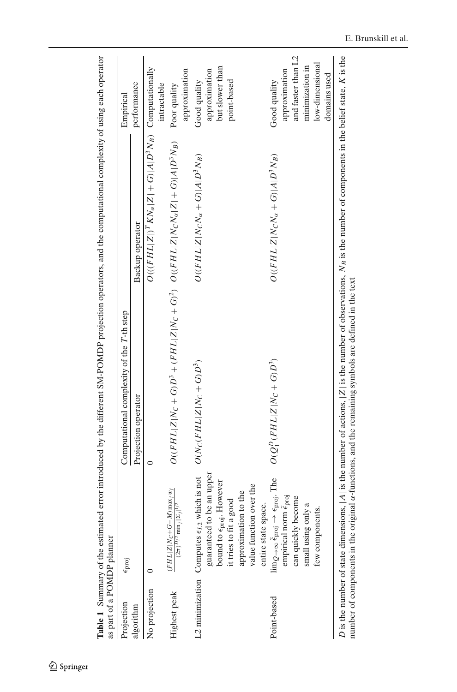<span id="page-21-0"></span>

| Projection    | $\epsilon_{\rm proj}$                                                                                                                              | Computational complexity of the $T$ -th step                          |                                                                  | Empirical                                              |
|---------------|----------------------------------------------------------------------------------------------------------------------------------------------------|-----------------------------------------------------------------------|------------------------------------------------------------------|--------------------------------------------------------|
| algorithm     |                                                                                                                                                    | Projection operator                                                   | Backup operator                                                  | performance                                            |
| No projection |                                                                                                                                                    |                                                                       | $O(([FHL Z])^I K N_{\alpha}  Z  + G) A D^3 N_B)$ Computationally | intractable                                            |
| Highest peak  | $(FHL Z N_C+G-M)$ max <sub>i</sub> w <sub>i</sub><br>$(2\pi)^{D/2}$ min $j  \Sigma_j ^{1/2}$                                                       | $O((FHL Z N_C+G)D^3+(FHL Z N_C+G)^2)-O((FHL Z N_CN_a Z +G) A D^3N_B)$ |                                                                  | approximation<br>Poor quality                          |
|               | L2 minimization Computes $\epsilon_{L2}$ which is not                                                                                              | $O(N_C (FHL   Z   N_C + G) D^3)$                                      | $O((FHL Z N_cN_a+G) A D^3N_B)$                                   | Good quality                                           |
|               | guaranteed to be an upper<br>bound to $\epsilon_{proj}$ . However<br>value function over the<br>approximation to the<br>1good<br>it tries to fit a |                                                                       |                                                                  | but slower than<br>approximation<br>point-based        |
| Point-based   | $\lim_{Q\to\infty} \tilde{\epsilon}_{\text{proj}} \to \epsilon_{\text{proj}}$ . The<br>entire state space.                                         | $O(Q_P^D(FHL Z N_C+G)D^3)$                                            | $O((FHL Z N_cN_a+G) A D^3N_B)$                                   | Good quality                                           |
|               | empirical norm $\tilde{\epsilon}_{\text{proj}}$<br>can quickly become<br>small using only a                                                        |                                                                       |                                                                  | and faster than L2<br>minimization in<br>approximation |
|               | few components.                                                                                                                                    |                                                                       |                                                                  | low-dimensional<br>domains used                        |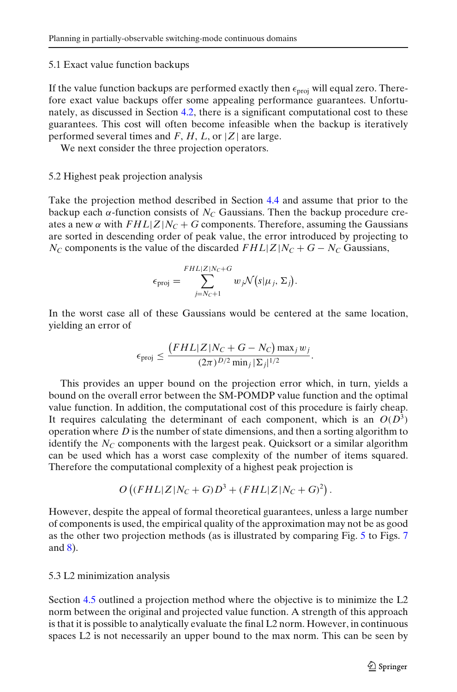# 5.1 Exact value function backups

If the value function backups are performed exactly then  $\epsilon_{\text{proj}}$  will equal zero. Therefore exact value backups offer some appealing performance guarantees. Unfortunately, as discussed in Section [4.2,](#page-11-0) there is a significant computational cost to these guarantees. This cost will often become infeasible when the backup is iteratively performed several times and  $F$ ,  $H$ ,  $L$ , or  $|Z|$  are large.

We next consider the three projection operators.

# 5.2 Highest peak projection analysis

Take the projection method described in Section [4.4](#page-13-0) and assume that prior to the backup each  $\alpha$ -function consists of  $N_c$  Gaussians. Then the backup procedure creates a new  $\alpha$  with  $FHL|Z|N_C + G$  components. Therefore, assuming the Gaussians are sorted in descending order of peak value, the error introduced by projecting to *N<sub>C</sub>* components is the value of the discarded  $FHL|Z|N_C + G - N_C$  Gaussians,

$$
\epsilon_{\text{proj}} = \sum_{j=Nc+1}^{FHL|Z|Nc+G} w_j \mathcal{N}\big(s|\mu_j, \Sigma_j\big).
$$

In the worst case all of these Gaussians would be centered at the same location, yielding an error of

$$
\epsilon_{\text{proj}} \leq \frac{\left( FHL|Z|N_C + G - N_C \right) \max_j w_j}{(2\pi)^{D/2} \min_j |\Sigma_j|^{1/2}}.
$$

This provides an upper bound on the projection error which, in turn, yields a bound on the overall error between the SM-POMDP value function and the optimal value function. In addition, the computational cost of this procedure is fairly cheap. It requires calculating the determinant of each component, which is an  $O(D^3)$ operation where *D* is the number of state dimensions, and then a sorting algorithm to identify the  $N_c$  components with the largest peak. Quicksort or a similar algorithm can be used which has a worst case complexity of the number of items squared. Therefore the computational complexity of a highest peak projection is

$$
O\left((FHL|Z|N_C+G)D^3+(FHL|Z|N_C+G)^2\right).
$$

However, despite the appeal of formal theoretical guarantees, unless a large number of components is used, the empirical quality of the approximation may not be as good as the other two projection methods (as is illustrated by comparing Fig. [5](#page-13-0) to Figs. [7](#page-16-0) and  $8$ ).

# 5.3 L2 minimization analysis

Section [4.5](#page-14-0) outlined a projection method where the objective is to minimize the L2 norm between the original and projected value function. A strength of this approach is that it is possible to analytically evaluate the final L2 norm. However, in continuous spaces L2 is not necessarily an upper bound to the max norm. This can be seen by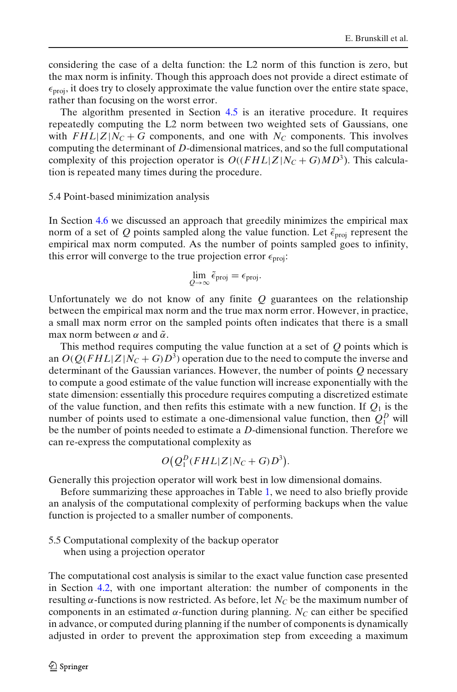considering the case of a delta function: the L2 norm of this function is zero, but the max norm is infinity. Though this approach does not provide a direct estimate of  $\epsilon_{\text{proj}}$ , it does try to closely approximate the value function over the entire state space, rather than focusing on the worst error.

The algorithm presented in Section [4.5](#page-14-0) is an iterative procedure. It requires repeatedly computing the L2 norm between two weighted sets of Gaussians, one with  $FHL|Z|N_c + G$  components, and one with  $N_c$  components. This involves computing the determinant of *D*-dimensional matrices, and so the full computational complexity of this projection operator is  $O((FHL|Z|N_c + G)MD^3)$ . This calculation is repeated many times during the procedure.

#### 5.4 Point-based minimization analysis

In Section [4.6](#page-15-0) we discussed an approach that greedily minimizes the empirical max norm of a set of  $Q$  points sampled along the value function. Let  $\tilde{\epsilon}_{\text{proj}}$  represent the empirical max norm computed. As the number of points sampled goes to infinity, this error will converge to the true projection error  $\epsilon_{\text{proj}}$ :

$$
\lim_{Q\to\infty}\tilde{\epsilon}_{\text{proj}}=\epsilon_{\text{proj}}.
$$

Unfortunately we do not know of any finite *Q* guarantees on the relationship between the empirical max norm and the true max norm error. However, in practice, a small max norm error on the sampled points often indicates that there is a small max norm between  $\alpha$  and  $\tilde{\alpha}$ .

This method requires computing the value function at a set of *Q* points which is an  $O(Q(FHL|Z|N_C + G)D^3)$  operation due to the need to compute the inverse and determinant of the Gaussian variances. However, the number of points *Q* necessary to compute a good estimate of the value function will increase exponentially with the state dimension: essentially this procedure requires computing a discretized estimate of the value function, and then refits this estimate with a new function. If  $Q_1$  is the number of points used to estimate a one-dimensional value function, then  $Q_1^D$  will be the number of points needed to estimate a *D*-dimensional function. Therefore we can re-express the computational complexity as

$$
O(Q_1^D(FHL|Z|N_C+G)D^3).
$$

Generally this projection operator will work best in low dimensional domains.

Before summarizing these approaches in Table [1,](#page-21-0) we need to also briefly provide an analysis of the computational complexity of performing backups when the value function is projected to a smaller number of components.

# 5.5 Computational complexity of the backup operator when using a projection operator

The computational cost analysis is similar to the exact value function case presented in Section [4.2,](#page-11-0) with one important alteration: the number of components in the resulting  $\alpha$ -functions is now restricted. As before, let  $N_C$  be the maximum number of components in an estimated  $\alpha$ -function during planning. *N<sub>C</sub>* can either be specified in advance, or computed during planning if the number of components is dynamically adjusted in order to prevent the approximation step from exceeding a maximum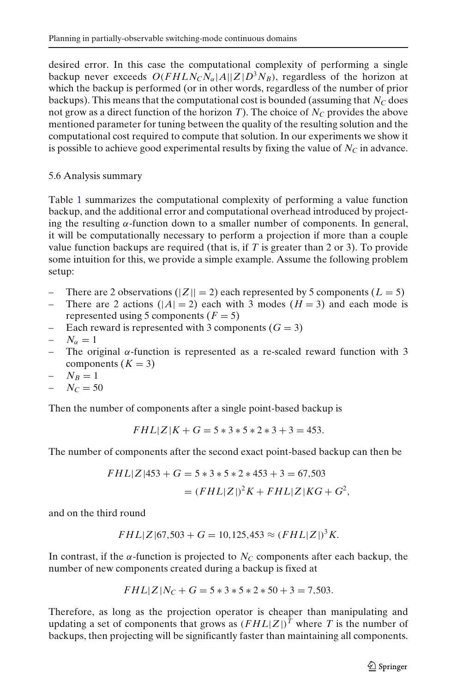desired error. In this case the computational complexity of performing a single backup never exceeds  $O(FHLN_cN_a|A||Z|D^3N_B)$ , regardless of the horizon at which the backup is performed (or in other words, regardless of the number of prior backups). This means that the computational cost is bounded (assuming that  $N<sub>C</sub>$  does not grow as a direct function of the horizon *T*). The choice of  $N_c$  provides the above mentioned parameter for tuning between the quality of the resulting solution and the computational cost required to compute that solution. In our experiments we show it is possible to achieve good experimental results by fixing the value of  $N_c$  in advance.

# 5.6 Analysis summary

Table [1](#page-21-0) summarizes the computational complexity of performing a value function backup, and the additional error and computational overhead introduced by projecting the resulting  $\alpha$ -function down to a smaller number of components. In general, it will be computationally necessary to perform a projection if more than a couple value function backups are required (that is, if  $T$  is greater than 2 or 3). To provide some intuition for this, we provide a simple example. Assume the following problem setup:

- There are 2 observations ( $|Z| = 2$ ) each represented by 5 components ( $L = 5$ )
- There are 2 actions ( $|A| = 2$ ) each with 3 modes ( $H = 3$ ) and each mode is represented using 5 components  $(F = 5)$
- Each reward is represented with 3 components  $(G = 3)$
- $N_\alpha=1$
- The original  $\alpha$ -function is represented as a re-scaled reward function with 3 components  $(K = 3)$
- $N_B=1$
- $N_C = 50$

Then the number of components after a single point-based backup is

$$
FHL|Z|K + G = 5 * 3 * 5 * 2 * 3 + 3 = 453.
$$

The number of components after the second exact point-based backup can then be

$$
FHL|Z|453 + G = 5*3*5*2*453 + 3 = 67,503
$$

$$
= (FHL|Z|)^2 K + FHL|Z|KG + G^2,
$$

and on the third round

$$
FHL|Z|67,503 + G = 10,125,453 \approx (FHL|Z|)^3 K.
$$

In contrast, if the  $\alpha$ -function is projected to  $N_c$  components after each backup, the number of new components created during a backup is fixed at

$$
FHL|Z|N_C + G = 5*3*5*2*50 + 3 = 7,503.
$$

Therefore, as long as the projection operator is cheaper than manipulating and updating a set of components that grows as  $(FHL|Z|)^T$  where *T* is the number of backups, then projecting will be significantly faster than maintaining all components.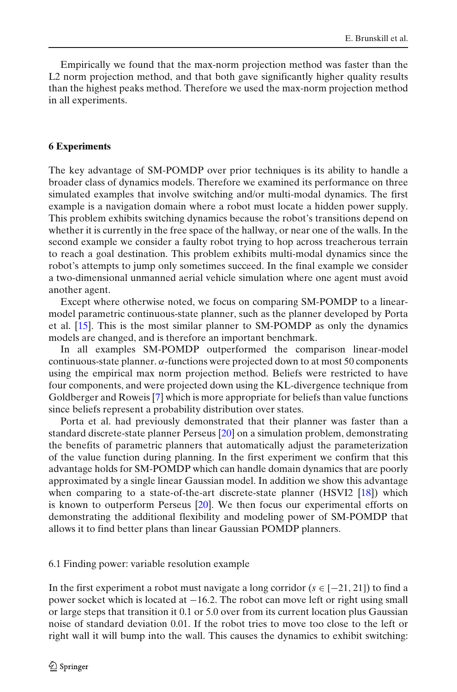<span id="page-25-0"></span>Empirically we found that the max-norm projection method was faster than the L2 norm projection method, and that both gave significantly higher quality results than the highest peaks method. Therefore we used the max-norm projection method in all experiments.

#### **6 Experiments**

The key advantage of SM-POMDP over prior techniques is its ability to handle a broader class of dynamics models. Therefore we examined its performance on three simulated examples that involve switching and/or multi-modal dynamics. The first example is a navigation domain where a robot must locate a hidden power supply. This problem exhibits switching dynamics because the robot's transitions depend on whether it is currently in the free space of the hallway, or near one of the walls. In the second example we consider a faulty robot trying to hop across treacherous terrain to reach a goal destination. This problem exhibits multi-modal dynamics since the robot's attempts to jump only sometimes succeed. In the final example we consider a two-dimensional unmanned aerial vehicle simulation where one agent must avoid another agent.

Except where otherwise noted, we focus on comparing SM-POMDP to a linearmodel parametric continuous-state planner, such as the planner developed by Porta et al. [\[15\]](#page-31-0). This is the most similar planner to SM-POMDP as only the dynamics models are changed, and is therefore an important benchmark.

In all examples SM-POMDP outperformed the comparison linear-model continuous-state planner. α-functions were projected down to at most 50 components using the empirical max norm projection method. Beliefs were restricted to have four components, and were projected down using the KL-divergence technique from Goldberger and Roweis [\[7](#page-31-0)] which is more appropriate for beliefs than value functions since beliefs represent a probability distribution over states.

Porta et al. had previously demonstrated that their planner was faster than a standard discrete-state planner Perseus [\[20\]](#page-31-0) on a simulation problem, demonstrating the benefits of parametric planners that automatically adjust the parameterization of the value function during planning. In the first experiment we confirm that this advantage holds for SM-POMDP which can handle domain dynamics that are poorly approximated by a single linear Gaussian model. In addition we show this advantage when comparing to a state-of-the-art discrete-state planner (HSVI2 [\[18\]](#page-31-0)) which is known to outperform Perseus  $[20]$  $[20]$ . We then focus our experimental efforts on demonstrating the additional flexibility and modeling power of SM-POMDP that allows it to find better plans than linear Gaussian POMDP planners.

#### 6.1 Finding power: variable resolution example

In the first experiment a robot must navigate a long corridor ( $s \in [-21, 21]$ ) to find a power socket which is located at −16.2. The robot can move left or right using small or large steps that transition it 0.1 or 5.0 over from its current location plus Gaussian noise of standard deviation 0.01. If the robot tries to move too close to the left or right wall it will bump into the wall. This causes the dynamics to exhibit switching: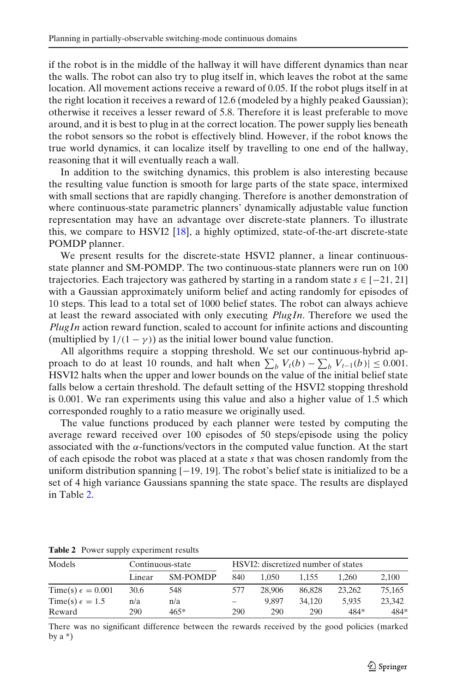if the robot is in the middle of the hallway it will have different dynamics than near the walls. The robot can also try to plug itself in, which leaves the robot at the same location. All movement actions receive a reward of 0.05. If the robot plugs itself in at the right location it receives a reward of 12.6 (modeled by a highly peaked Gaussian); otherwise it receives a lesser reward of 5.8. Therefore it is least preferable to move around, and it is best to plug in at the correct location. The power supply lies beneath the robot sensors so the robot is effectively blind. However, if the robot knows the true world dynamics, it can localize itself by travelling to one end of the hallway, reasoning that it will eventually reach a wall.

In addition to the switching dynamics, this problem is also interesting because the resulting value function is smooth for large parts of the state space, intermixed with small sections that are rapidly changing. Therefore is another demonstration of where continuous-state parametric planners' dynamically adjustable value function representation may have an advantage over discrete-state planners. To illustrate this, we compare to HSVI2 [\[18\]](#page-31-0), a highly optimized, state-of-the-art discrete-state POMDP planner.

We present results for the discrete-state HSVI2 planner, a linear continuousstate planner and SM-POMDP. The two continuous-state planners were run on 100 trajectories. Each trajectory was gathered by starting in a random state  $s \in [-21, 21]$ with a Gaussian approximately uniform belief and acting randomly for episodes of 10 steps. This lead to a total set of 1000 belief states. The robot can always achieve at least the reward associated with only executing *PlugIn*. Therefore we used the *PlugIn* action reward function, scaled to account for infinite actions and discounting (multiplied by  $1/(1 - \gamma)$ ) as the initial lower bound value function.

All algorithms require a stopping threshold. We set our continuous-hybrid approach to do at least 10 rounds, and halt when  $\sum_b V_t(b) - \sum_b V_{t-1}(b) \le 0.001$ . HSVI2 halts when the upper and lower bounds on the value of the initial belief state falls below a certain threshold. The default setting of the HSVI2 stopping threshold is 0.001. We ran experiments using this value and also a higher value of 1.5 which corresponded roughly to a ratio measure we originally used.

The value functions produced by each planner were tested by computing the average reward received over 100 episodes of 50 steps/episode using the policy associated with the  $\alpha$ -functions/vectors in the computed value function. At the start of each episode the robot was placed at a state *s* that was chosen randomly from the uniform distribution spanning [−19, 19]. The robot's belief state is initialized to be a set of 4 high variance Gaussians spanning the state space. The results are displayed in Table 2.

| Models                     | Continuous-state |          | HSVI2: discretized number of states |        |        |        |        |
|----------------------------|------------------|----------|-------------------------------------|--------|--------|--------|--------|
|                            | Linear           | SM-POMDP | 840                                 | 1.050  | 1.155  | 1.260  | 2.100  |
| Time(s) $\epsilon = 0.001$ | 30.6             | 548      | 577                                 | 28.906 | 86,828 | 23,262 | 75,165 |
| Time(s) $\epsilon = 1.5$   | n/a              | n/a      | -                                   | 9.897  | 34.120 | 5.935  | 23.342 |
| Reward                     | 290              | $465*$   | 290                                 | 290    | 290    | 484*   | 484*   |

**Table 2** Power supply experiment results

There was no significant difference between the rewards received by the good policies (marked by a \*)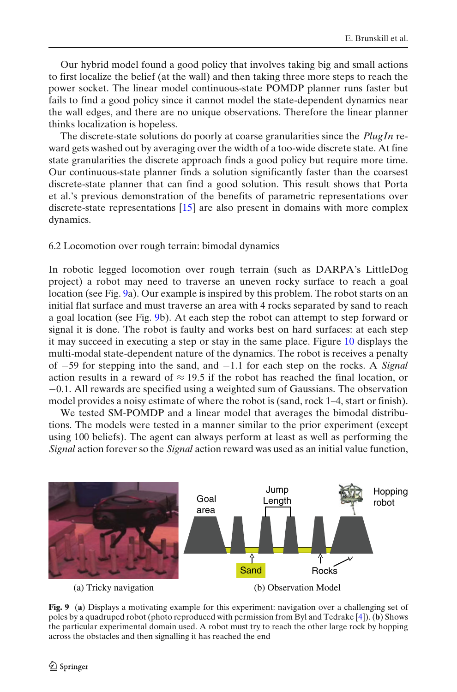Our hybrid model found a good policy that involves taking big and small actions to first localize the belief (at the wall) and then taking three more steps to reach the power socket. The linear model continuous-state POMDP planner runs faster but fails to find a good policy since it cannot model the state-dependent dynamics near the wall edges, and there are no unique observations. Therefore the linear planner thinks localization is hopeless.

The discrete-state solutions do poorly at coarse granularities since the *PlugIn* reward gets washed out by averaging over the width of a too-wide discrete state. At fine state granularities the discrete approach finds a good policy but require more time. Our continuous-state planner finds a solution significantly faster than the coarsest discrete-state planner that can find a good solution. This result shows that Porta et al.'s previous demonstration of the benefits of parametric representations over discrete-state representations [\[15\]](#page-31-0) are also present in domains with more complex dynamics.

#### 6.2 Locomotion over rough terrain: bimodal dynamics

In robotic legged locomotion over rough terrain (such as DARPA's LittleDog project) a robot may need to traverse an uneven rocky surface to reach a goal location (see Fig. 9a). Our example is inspired by this problem. The robot starts on an initial flat surface and must traverse an area with 4 rocks separated by sand to reach a goal location (see Fig. 9b). At each step the robot can attempt to step forward or signal it is done. The robot is faulty and works best on hard surfaces: at each step it may succeed in executing a step or stay in the same place. Figure [10](#page-28-0) displays the multi-modal state-dependent nature of the dynamics. The robot is receives a penalty of −59 for stepping into the sand, and −1.1 for each step on the rocks. A *Signal* action results in a reward of  $\approx$  19.5 if the robot has reached the final location, or −0.1. All rewards are specified using a weighted sum of Gaussians. The observation model provides a noisy estimate of where the robot is (sand, rock 1–4, start or finish).

We tested SM-POMDP and a linear model that averages the bimodal distributions. The models were tested in a manner similar to the prior experiment (except using 100 beliefs). The agent can always perform at least as well as performing the *Signal* action forever so the *Signal* action reward was used as an initial value function,



**Fig. 9** (**a**) Displays a motivating example for this experiment: navigation over a challenging set of poles by a quadruped robot (photo reproduced with permission from Byl and Tedrake [\[4\]](#page-31-0)). (**b**) Shows the particular experimental domain used. A robot must try to reach the other large rock by hopping across the obstacles and then signalling it has reached the end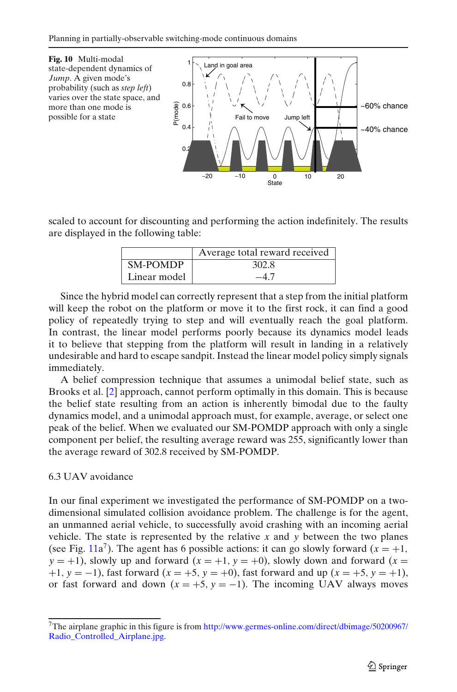<span id="page-28-0"></span>

scaled to account for discounting and performing the action indefinitely. The results are displayed in the following table:

|                 | Average total reward received |
|-----------------|-------------------------------|
| <b>SM-POMDP</b> | 302.8                         |
| Linear model    | $-47$                         |

Since the hybrid model can correctly represent that a step from the initial platform will keep the robot on the platform or move it to the first rock, it can find a good policy of repeatedly trying to step and will eventually reach the goal platform. In contrast, the linear model performs poorly because its dynamics model leads it to believe that stepping from the platform will result in landing in a relatively undesirable and hard to escape sandpit. Instead the linear model policy simply signals immediately.

A belief compression technique that assumes a unimodal belief state, such as Brooks et al. [\[2\]](#page-31-0) approach, cannot perform optimally in this domain. This is because the belief state resulting from an action is inherently bimodal due to the faulty dynamics model, and a unimodal approach must, for example, average, or select one peak of the belief. When we evaluated our SM-POMDP approach with only a single component per belief, the resulting average reward was 255, significantly lower than the average reward of 302.8 received by SM-POMDP.

# 6.3 UAV avoidance

In our final experiment we investigated the performance of SM-POMDP on a twodimensional simulated collision avoidance problem. The challenge is for the agent, an unmanned aerial vehicle, to successfully avoid crashing with an incoming aerial vehicle. The state is represented by the relative *x* and *y* between the two planes (see Fig. [11a](#page-29-0)<sup>7</sup>). The agent has 6 possible actions: it can go slowly forward ( $x = +1$ ,  $y = +1$ ), slowly up and forward ( $x = +1$ ,  $y = +0$ ), slowly down and forward ( $x =$ +1, *y* = −1), fast forward (*x* = +5, *y* = +0), fast forward and up (*x* = +5, *y* = +1), or fast forward and down  $(x = +5, y = -1)$ . The incoming UAV always moves

<sup>&</sup>lt;sup>7</sup>The airplane graphic in this figure is from [http://www.germes-online.com/direct/dbimage/50200967/](http://www.germes-online.com/direct/dbimage/50200967/Radio_Controlled_Airplane.jpg) [Radio\\_Controlled\\_Airplane.jpg.](http://www.germes-online.com/direct/dbimage/50200967/Radio_Controlled_Airplane.jpg)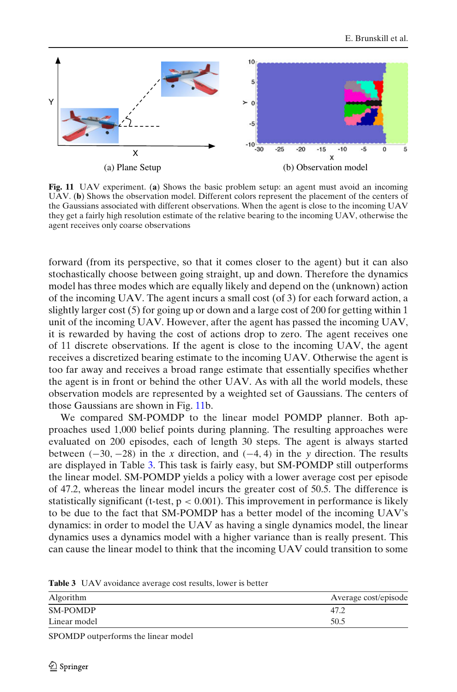<span id="page-29-0"></span>

**Fig. 11** UAV experiment. (**a**) Shows the basic problem setup: an agent must avoid an incoming UAV. (**b**) Shows the observation model. Different colors represent the placement of the centers of the Gaussians associated with different observations. When the agent is close to the incoming UAV they get a fairly high resolution estimate of the relative bearing to the incoming UAV, otherwise the agent receives only coarse observations

forward (from its perspective, so that it comes closer to the agent) but it can also stochastically choose between going straight, up and down. Therefore the dynamics model has three modes which are equally likely and depend on the (unknown) action of the incoming UAV. The agent incurs a small cost (of 3) for each forward action, a slightly larger cost (5) for going up or down and a large cost of 200 for getting within 1 unit of the incoming UAV. However, after the agent has passed the incoming UAV, it is rewarded by having the cost of actions drop to zero. The agent receives one of 11 discrete observations. If the agent is close to the incoming UAV, the agent receives a discretized bearing estimate to the incoming UAV. Otherwise the agent is too far away and receives a broad range estimate that essentially specifies whether the agent is in front or behind the other UAV. As with all the world models, these observation models are represented by a weighted set of Gaussians. The centers of those Gaussians are shown in Fig. 11b.

We compared SM-POMDP to the linear model POMDP planner. Both approaches used 1,000 belief points during planning. The resulting approaches were evaluated on 200 episodes, each of length 30 steps. The agent is always started between  $(-30, -28)$  in the *x* direction, and  $(-4, 4)$  in the *y* direction. The results are displayed in Table 3. This task is fairly easy, but SM-POMDP still outperforms the linear model. SM-POMDP yields a policy with a lower average cost per episode of 47.2, whereas the linear model incurs the greater cost of 50.5. The difference is statistically significant (t-test,  $p < 0.001$ ). This improvement in performance is likely to be due to the fact that SM-POMDP has a better model of the incoming UAV's dynamics: in order to model the UAV as having a single dynamics model, the linear dynamics uses a dynamics model with a higher variance than is really present. This can cause the linear model to think that the incoming UAV could transition to some

| <b>Table 3</b> UAV avoidance average cost results, lower is better |  |
|--------------------------------------------------------------------|--|
|--------------------------------------------------------------------|--|

| Average cost/episode |
|----------------------|
| 47.2                 |
| 50.5                 |
|                      |

SPOMDP outperforms the linear model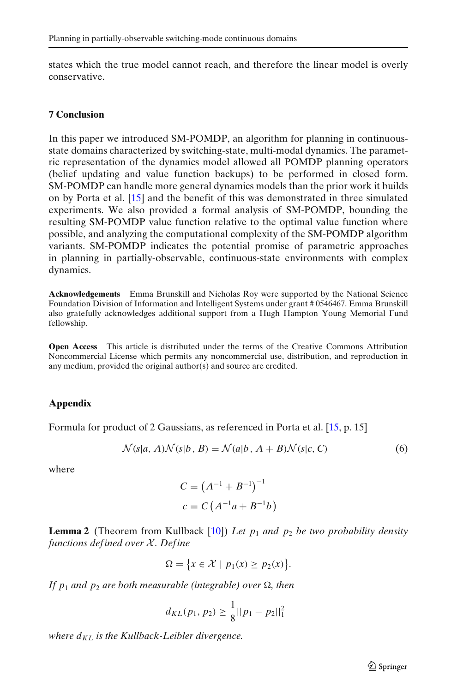<span id="page-30-0"></span>states which the true model cannot reach, and therefore the linear model is overly conservative.

## **7 Conclusion**

In this paper we introduced SM-POMDP, an algorithm for planning in continuousstate domains characterized by switching-state, multi-modal dynamics. The parametric representation of the dynamics model allowed all POMDP planning operators (belief updating and value function backups) to be performed in closed form. SM-POMDP can handle more general dynamics models than the prior work it builds on by Porta et al. [\[15\]](#page-31-0) and the benefit of this was demonstrated in three simulated experiments. We also provided a formal analysis of SM-POMDP, bounding the resulting SM-POMDP value function relative to the optimal value function where possible, and analyzing the computational complexity of the SM-POMDP algorithm variants. SM-POMDP indicates the potential promise of parametric approaches in planning in partially-observable, continuous-state environments with complex dynamics.

**Acknowledgements** Emma Brunskill and Nicholas Roy were supported by the National Science Foundation Division of Information and Intelligent Systems under grant # 0546467. Emma Brunskill also gratefully acknowledges additional support from a Hugh Hampton Young Memorial Fund fellowship.

**Open Access** This article is distributed under the terms of the Creative Commons Attribution Noncommercial License which permits any noncommercial use, distribution, and reproduction in any medium, provided the original author(s) and source are credited.

# **Appendix**

Formula for product of 2 Gaussians, as referenced in Porta et al. [\[15](#page-31-0), p. 15]

$$
\mathcal{N}(s|a, A)\mathcal{N}(s|b, B) = \mathcal{N}(a|b, A+B)\mathcal{N}(s|c, C)
$$
\n(6)

where

$$
C = (A^{-1} + B^{-1})^{-1}
$$

$$
c = C(A^{-1}a + B^{-1}b)
$$

**Lemma 2** (Theorem from Kullback [\[10](#page-31-0)]) Let  $p_1$  and  $p_2$  be two probability density *functions defined over X. Define* 

$$
\Omega = \{x \in \mathcal{X} \mid p_1(x) \ge p_2(x)\}.
$$

*If p<sub>1</sub> and p<sub>2</sub> are both measurable (integrable) over*  $\Omega$ , *then* 

$$
d_{KL}(p_1, p_2) \ge \frac{1}{8} ||p_1 - p_2||_1^2
$$

*where*  $d_{KL}$  *is the Kullback-Leibler divergence.*